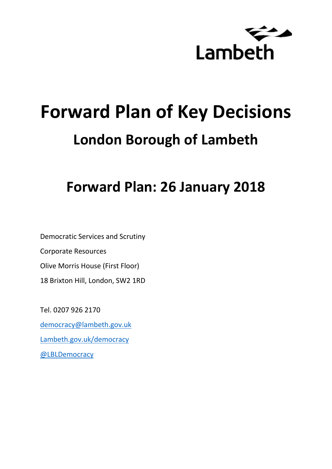

# **Forward Plan of Key Decisions London Borough of Lambeth**

# **Forward Plan: 26 January 2018**

Democratic Services and Scrutiny Corporate Resources Olive Morris House (First Floor) 18 Brixton Hill, London, SW2 1RD

Tel. 0207 926 2170 [democracy@lambeth.gov.uk](mailto:democracy@lambeth.gov.uk) [Lambeth.gov.uk/democracy](https://www.lambeth.gov.uk/elections-and-council/meetings-minutes-and-agendas/getting-involved-in-decision-making-guide) [@LBLDemocracy](https://twitter.com/LBLDemocracy?lang=en)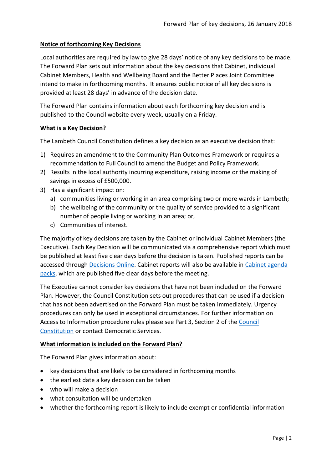# **Notice of forthcoming Key Decisions**

Local authorities are required by law to give 28 days' notice of any key decisions to be made. The Forward Plan sets out information about the key decisions that Cabinet, individual Cabinet Members, Health and Wellbeing Board and the Better Places Joint Committee intend to make in forthcoming months. It ensures public notice of all key decisions is provided at least 28 days' in advance of the decision date.

The Forward Plan contains information about each forthcoming key decision and is published to the Council website every week, usually on a Friday.

#### **What is a Key Decision?**

The Lambeth Council Constitution defines a key decision as an executive decision that:

- 1) Requires an amendment to the Community Plan Outcomes Framework or requires a recommendation to Full Council to amend the Budget and Policy Framework.
- 2) Results in the local authority incurring expenditure, raising income or the making of savings in excess of £500,000.
- 3) Has a significant impact on:
	- a) communities living or working in an area comprising two or more wards in Lambeth;
	- b) the wellbeing of the community or the quality of service provided to a significant number of people living or working in an area; or,
	- c) Communities of interest.

The majority of key decisions are taken by the Cabinet or individual Cabinet Members (the Executive). Each Key Decision will be communicated via a comprehensive report which must be published at least five clear days before the decision is taken. Published reports can be accessed through [Decisions Online.](http://moderngov.lambeth.gov.uk/mgDelegatedDecisions.aspx?bcr=1&DM=0&DS=2&K=0&DR=&V=0) Cabinet reports will also be available in [Cabinet agenda](https://moderngov.lambeth.gov.uk/ieListMeetings.aspx?CommitteeId=225)  [packs,](https://moderngov.lambeth.gov.uk/ieListMeetings.aspx?CommitteeId=225) which are published five clear days before the meeting.

The Executive cannot consider key decisions that have not been included on the Forward Plan. However, the Council Constitution sets out procedures that can be used if a decision that has not been advertised on the Forward Plan must be taken immediately. Urgency procedures can only be used in exceptional circumstances. For further information on Access to Information procedure rules please see Part 3, Section 2 of the [Council](http://moderngov.lambeth.gov.uk/ieListMeetings.aspx?CId=738&info=1&MD=Constitution)  [Constitution](http://moderngov.lambeth.gov.uk/ieListMeetings.aspx?CId=738&info=1&MD=Constitution) or contact Democratic Services.

# **What information is included on the Forward Plan?**

The Forward Plan gives information about:

- key decisions that are likely to be considered in forthcoming months
- the earliest date a key decision can be taken
- who will make a decision
- what consultation will be undertaken
- whether the forthcoming report is likely to include exempt or confidential information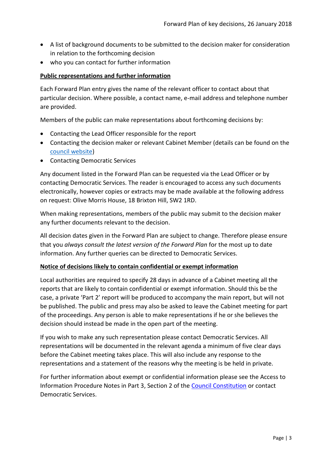- A list of background documents to be submitted to the decision maker for consideration in relation to the forthcoming decision
- who you can contact for further information

#### **Public representations and further information**

Each Forward Plan entry gives the name of the relevant officer to contact about that particular decision. Where possible, a contact name, e-mail address and telephone number are provided.

Members of the public can make representations about forthcoming decisions by:

- Contacting the Lead Officer responsible for the report
- Contacting the decision maker or relevant Cabinet Member (details can be found on the [council website\)](http://moderngov.lambeth.gov.uk/mgMemberIndex.aspx?bcr=1)
- Contacting Democratic Services

Any document listed in the Forward Plan can be requested via the Lead Officer or by contacting Democratic Services. The reader is encouraged to access any such documents electronically, however copies or extracts may be made available at the following address on request: Olive Morris House, 18 Brixton Hill, SW2 1RD.

When making representations, members of the public may submit to the decision maker any further documents relevant to the decision.

All decision dates given in the Forward Plan are subject to change. Therefore please ensure that you *always consult the latest version of the Forward Plan* for the most up to date information. Any further queries can be directed to Democratic Services.

#### **Notice of decisions likely to contain confidential or exempt information**

Local authorities are required to specify 28 days in advance of a Cabinet meeting all the reports that are likely to contain confidential or exempt information. Should this be the case, a private 'Part 2' report will be produced to accompany the main report, but will not be published. The public and press may also be asked to leave the Cabinet meeting for part of the proceedings. Any person is able to make representations if he or she believes the decision should instead be made in the open part of the meeting.

If you wish to make any such representation please contact Democratic Services. All representations will be documented in the relevant agenda a minimum of five clear days before the Cabinet meeting takes place. This will also include any response to the representations and a statement of the reasons why the meeting is be held in private.

For further information about exempt or confidential information please see the Access to Information Procedure Notes in Part 3, Section 2 of the [Council Constitution](http://www.lambeth.gov.uk/sites/default/files/ec-Council-Constitution-2014-15-approved-with-changes-November-2014.pdf) or contact Democratic Services.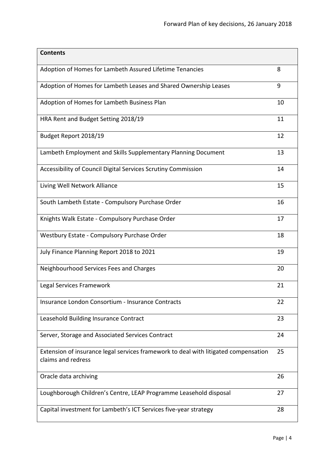| <b>Contents</b>                                                                                           |    |
|-----------------------------------------------------------------------------------------------------------|----|
| Adoption of Homes for Lambeth Assured Lifetime Tenancies                                                  | 8  |
| Adoption of Homes for Lambeth Leases and Shared Ownership Leases                                          | 9  |
| Adoption of Homes for Lambeth Business Plan                                                               | 10 |
| HRA Rent and Budget Setting 2018/19                                                                       | 11 |
| Budget Report 2018/19                                                                                     | 12 |
| Lambeth Employment and Skills Supplementary Planning Document                                             | 13 |
| Accessibility of Council Digital Services Scrutiny Commission                                             | 14 |
| Living Well Network Alliance                                                                              | 15 |
| South Lambeth Estate - Compulsory Purchase Order                                                          | 16 |
| Knights Walk Estate - Compulsory Purchase Order                                                           | 17 |
| Westbury Estate - Compulsory Purchase Order                                                               | 18 |
| July Finance Planning Report 2018 to 2021                                                                 | 19 |
| Neighbourhood Services Fees and Charges                                                                   | 20 |
| Legal Services Framework                                                                                  | 21 |
| Insurance London Consortium - Insurance Contracts                                                         | 22 |
| Leasehold Building Insurance Contract                                                                     | 23 |
| Server, Storage and Associated Services Contract                                                          | 24 |
| Extension of insurance legal services framework to deal with litigated compensation<br>claims and redress | 25 |
| Oracle data archiving                                                                                     | 26 |
| Loughborough Children's Centre, LEAP Programme Leasehold disposal                                         | 27 |
| Capital investment for Lambeth's ICT Services five-year strategy                                          | 28 |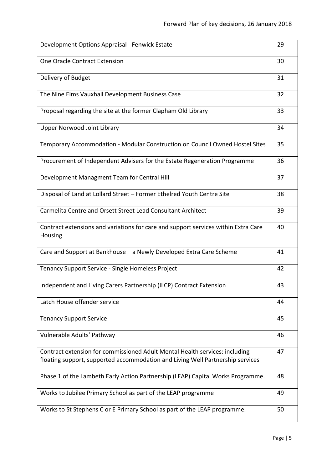| Development Options Appraisal - Fenwick Estate                                                                                                                | 29 |
|---------------------------------------------------------------------------------------------------------------------------------------------------------------|----|
| One Oracle Contract Extension                                                                                                                                 | 30 |
| Delivery of Budget                                                                                                                                            | 31 |
| The Nine Elms Vauxhall Development Business Case                                                                                                              | 32 |
| Proposal regarding the site at the former Clapham Old Library                                                                                                 | 33 |
| <b>Upper Norwood Joint Library</b>                                                                                                                            | 34 |
| Temporary Accommodation - Modular Construction on Council Owned Hostel Sites                                                                                  | 35 |
| Procurement of Independent Advisers for the Estate Regeneration Programme                                                                                     | 36 |
| Development Managment Team for Central Hill                                                                                                                   | 37 |
| Disposal of Land at Lollard Street - Former Ethelred Youth Centre Site                                                                                        | 38 |
| Carmelita Centre and Orsett Street Lead Consultant Architect                                                                                                  | 39 |
| Contract extensions and variations for care and support services within Extra Care<br>Housing                                                                 | 40 |
| Care and Support at Bankhouse - a Newly Developed Extra Care Scheme                                                                                           | 41 |
| Tenancy Support Service - Single Homeless Project                                                                                                             | 42 |
| Independent and Living Carers Partnership (ILCP) Contract Extension                                                                                           | 43 |
| Latch House offender service                                                                                                                                  | 44 |
| <b>Tenancy Support Service</b>                                                                                                                                | 45 |
| Vulnerable Adults' Pathway                                                                                                                                    | 46 |
| Contract extension for commissioned Adult Mental Health services: including<br>floating support, supported accommodation and Living Well Partnership services | 47 |
| Phase 1 of the Lambeth Early Action Partnership (LEAP) Capital Works Programme.                                                                               | 48 |
| Works to Jubilee Primary School as part of the LEAP programme                                                                                                 | 49 |
| Works to St Stephens C or E Primary School as part of the LEAP programme.                                                                                     | 50 |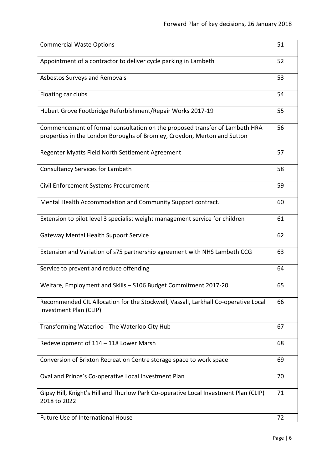| <b>Commercial Waste Options</b>                                                                                                                         | 51 |
|---------------------------------------------------------------------------------------------------------------------------------------------------------|----|
| Appointment of a contractor to deliver cycle parking in Lambeth                                                                                         | 52 |
| Asbestos Surveys and Removals                                                                                                                           | 53 |
| Floating car clubs                                                                                                                                      | 54 |
| Hubert Grove Footbridge Refurbishment/Repair Works 2017-19                                                                                              | 55 |
| Commencement of formal consultation on the proposed transfer of Lambeth HRA<br>properties in the London Boroughs of Bromley, Croydon, Merton and Sutton | 56 |
| Regenter Myatts Field North Settlement Agreement                                                                                                        | 57 |
| <b>Consultancy Services for Lambeth</b>                                                                                                                 | 58 |
| Civil Enforcement Systems Procurement                                                                                                                   | 59 |
| Mental Health Accommodation and Community Support contract.                                                                                             | 60 |
| Extension to pilot level 3 specialist weight management service for children                                                                            | 61 |
| <b>Gateway Mental Health Support Service</b>                                                                                                            | 62 |
| Extension and Variation of s75 partnership agreement with NHS Lambeth CCG                                                                               | 63 |
| Service to prevent and reduce offending                                                                                                                 | 64 |
| Welfare, Employment and Skills - S106 Budget Commitment 2017-20                                                                                         | 65 |
| Recommended CIL Allocation for the Stockwell, Vassall, Larkhall Co-operative Local<br>Investment Plan (CLIP)                                            | 66 |
| Transforming Waterloo - The Waterloo City Hub                                                                                                           | 67 |
| Redevelopment of 114 - 118 Lower Marsh                                                                                                                  | 68 |
| Conversion of Brixton Recreation Centre storage space to work space                                                                                     | 69 |
| Oval and Prince's Co-operative Local Investment Plan                                                                                                    | 70 |
| Gipsy Hill, Knight's Hill and Thurlow Park Co-operative Local Investment Plan (CLIP)<br>2018 to 2022                                                    | 71 |
| Future Use of International House                                                                                                                       | 72 |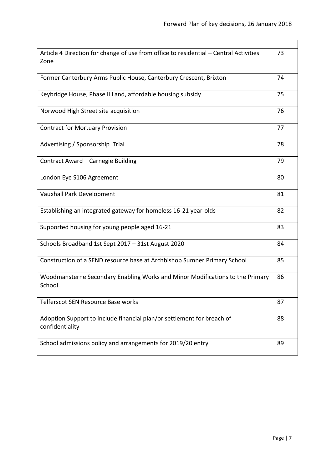| Article 4 Direction for change of use from office to residential - Central Activities<br>Zone | 73 |
|-----------------------------------------------------------------------------------------------|----|
| Former Canterbury Arms Public House, Canterbury Crescent, Brixton                             | 74 |
| Keybridge House, Phase II Land, affordable housing subsidy                                    | 75 |
| Norwood High Street site acquisition                                                          | 76 |
| <b>Contract for Mortuary Provision</b>                                                        | 77 |
| Advertising / Sponsorship Trial                                                               | 78 |
| Contract Award - Carnegie Building                                                            | 79 |
| London Eye S106 Agreement                                                                     | 80 |
| Vauxhall Park Development                                                                     | 81 |
| Establishing an integrated gateway for homeless 16-21 year-olds                               | 82 |
| Supported housing for young people aged 16-21                                                 | 83 |
| Schools Broadband 1st Sept 2017 - 31st August 2020                                            | 84 |
| Construction of a SEND resource base at Archbishop Sumner Primary School                      | 85 |
| Woodmansterne Secondary Enabling Works and Minor Modifications to the Primary<br>School.      | 86 |
| Telferscot SEN Resource Base works                                                            | 87 |
| Adoption Support to include financial plan/or settlement for breach of<br>confidentiality     | 88 |
| School admissions policy and arrangements for 2019/20 entry                                   | 89 |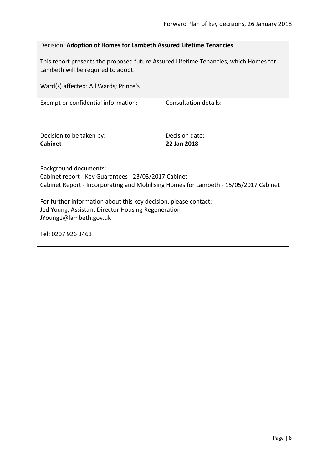<span id="page-7-0"></span>

| Decision: Adoption of Homes for Lambeth Assured Lifetime Tenancies                                                         |                               |  |
|----------------------------------------------------------------------------------------------------------------------------|-------------------------------|--|
| This report presents the proposed future Assured Lifetime Tenancies, which Homes for<br>Lambeth will be required to adopt. |                               |  |
| Ward(s) affected: All Wards; Prince's                                                                                      |                               |  |
| Exempt or confidential information:                                                                                        | <b>Consultation details:</b>  |  |
|                                                                                                                            |                               |  |
| Decision to be taken by:<br>Cabinet                                                                                        | Decision date:<br>22 Jan 2018 |  |
|                                                                                                                            |                               |  |
| Background documents:                                                                                                      |                               |  |
| Cabinet report - Key Guarantees - 23/03/2017 Cabinet                                                                       |                               |  |
| Cabinet Report - Incorporating and Mobilising Homes for Lambeth - 15/05/2017 Cabinet                                       |                               |  |
| For further information about this key decision, please contact:                                                           |                               |  |
| Jed Young, Assistant Director Housing Regeneration                                                                         |                               |  |
| JYoung1@lambeth.gov.uk                                                                                                     |                               |  |
| Tel: 0207 926 3463                                                                                                         |                               |  |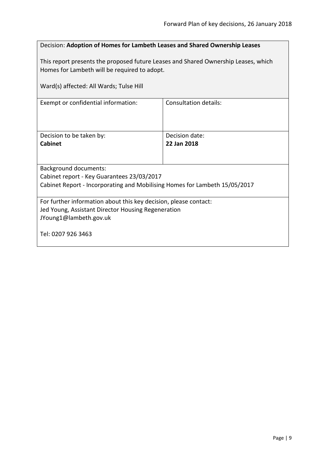<span id="page-8-0"></span>

| Decision: Adoption of Homes for Lambeth Leases and Shared Ownership Leases         |                       |  |
|------------------------------------------------------------------------------------|-----------------------|--|
|                                                                                    |                       |  |
| This report presents the proposed future Leases and Shared Ownership Leases, which |                       |  |
| Homes for Lambeth will be required to adopt.                                       |                       |  |
|                                                                                    |                       |  |
|                                                                                    |                       |  |
| Ward(s) affected: All Wards; Tulse Hill                                            |                       |  |
|                                                                                    | Consultation details: |  |
| Exempt or confidential information:                                                |                       |  |
|                                                                                    |                       |  |
|                                                                                    |                       |  |
|                                                                                    |                       |  |
| Decision to be taken by:                                                           | Decision date:        |  |
| <b>Cabinet</b>                                                                     | 22 Jan 2018           |  |
|                                                                                    |                       |  |
|                                                                                    |                       |  |
| <b>Background documents:</b>                                                       |                       |  |
| Cabinet report - Key Guarantees 23/03/2017                                         |                       |  |
| Cabinet Report - Incorporating and Mobilising Homes for Lambeth 15/05/2017         |                       |  |
|                                                                                    |                       |  |
| For further information about this key decision, please contact:                   |                       |  |
| Jed Young, Assistant Director Housing Regeneration                                 |                       |  |
| JYoung1@lambeth.gov.uk                                                             |                       |  |
|                                                                                    |                       |  |
| Tel: 0207 926 3463                                                                 |                       |  |
|                                                                                    |                       |  |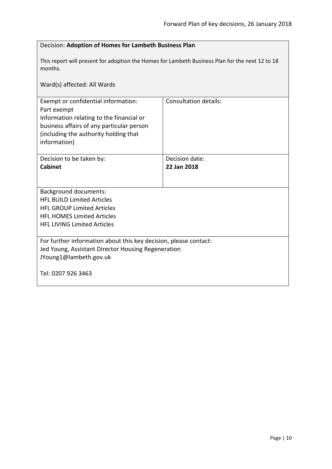<span id="page-9-0"></span>

| Decision: Adoption of Homes for Lambeth Business Plan                                                                                                                                                |                               |  |
|------------------------------------------------------------------------------------------------------------------------------------------------------------------------------------------------------|-------------------------------|--|
| This report will present for adoption the Homes for Lambeth Business Plan for the next 12 to 18<br>months.<br>Ward(s) affected: All Wards                                                            |                               |  |
|                                                                                                                                                                                                      |                               |  |
| Exempt or confidential information:<br>Part exempt<br>Information relating to the financial or<br>business affairs of any particular person<br>(including the authority holding that<br>information) | <b>Consultation details:</b>  |  |
| Decision to be taken by:<br><b>Cabinet</b>                                                                                                                                                           | Decision date:<br>22 Jan 2018 |  |
|                                                                                                                                                                                                      |                               |  |
| <b>Background documents:</b><br><b>HFL BUILD Limited Articles</b><br><b>HFL GROUP Limited Articles</b><br><b>HFL HOMES Limited Articles</b><br><b>HFL LIVING Limited Articles</b>                    |                               |  |
| For further information about this key decision, please contact:<br>Jed Young, Assistant Director Housing Regeneration<br>JYoung1@lambeth.gov.uk<br>Tel: 0207 926 3463                               |                               |  |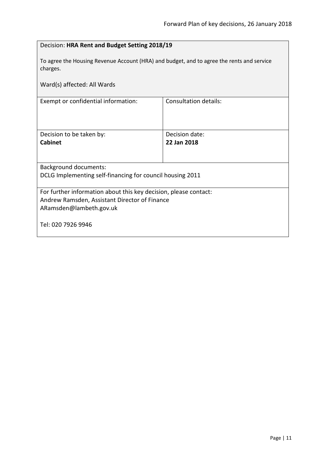<span id="page-10-0"></span>

| Decision: HRA Rent and Budget Setting 2018/19                                                         |                              |  |
|-------------------------------------------------------------------------------------------------------|------------------------------|--|
| To agree the Housing Revenue Account (HRA) and budget, and to agree the rents and service<br>charges. |                              |  |
| Ward(s) affected: All Wards                                                                           |                              |  |
| Exempt or confidential information:                                                                   | <b>Consultation details:</b> |  |
|                                                                                                       |                              |  |
| Decision to be taken by:                                                                              | Decision date:               |  |
| <b>Cabinet</b>                                                                                        | 22 Jan 2018                  |  |
|                                                                                                       |                              |  |
| <b>Background documents:</b>                                                                          |                              |  |
| DCLG Implementing self-financing for council housing 2011                                             |                              |  |
| For further information about this key decision, please contact:                                      |                              |  |
| Andrew Ramsden, Assistant Director of Finance                                                         |                              |  |
| ARamsden@lambeth.gov.uk                                                                               |                              |  |
| Tel: 020 7926 9946                                                                                    |                              |  |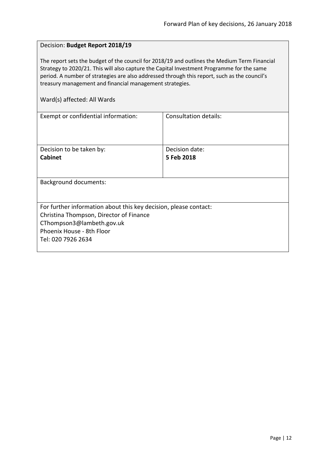#### <span id="page-11-0"></span>Decision: **Budget Report 2018/19**

The report sets the budget of the council for 2018/19 and outlines the Medium Term Financial Strategy to 2020/21. This will also capture the Capital Investment Programme for the same period. A number of strategies are also addressed through this report, such as the council's treasury management and financial management strategies.

| Exempt or confidential information:                              | Consultation details: |  |
|------------------------------------------------------------------|-----------------------|--|
|                                                                  |                       |  |
|                                                                  |                       |  |
|                                                                  |                       |  |
| Decision to be taken by:                                         | Decision date:        |  |
| <b>Cabinet</b>                                                   | 5 Feb 2018            |  |
|                                                                  |                       |  |
|                                                                  |                       |  |
| <b>Background documents:</b>                                     |                       |  |
|                                                                  |                       |  |
|                                                                  |                       |  |
| For further information about this key decision, please contact: |                       |  |
| Christina Thompson, Director of Finance                          |                       |  |
| CThompson3@lambeth.gov.uk                                        |                       |  |
| Phoenix House - 8th Floor                                        |                       |  |
| Tel: 020 7926 2634                                               |                       |  |
|                                                                  |                       |  |
|                                                                  |                       |  |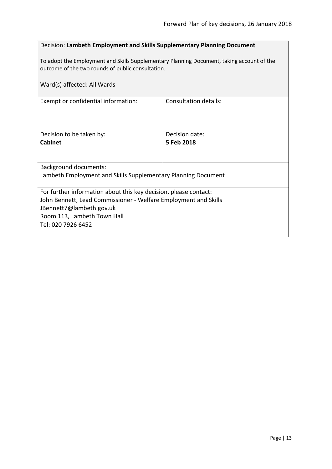# <span id="page-12-0"></span>Decision: **Lambeth Employment and Skills Supplementary Planning Document**

To adopt the Employment and Skills Supplementary Planning Document, taking account of the outcome of the two rounds of public consultation.

| Ward(s) affected: All Wards                                                                 |                       |  |
|---------------------------------------------------------------------------------------------|-----------------------|--|
| Exempt or confidential information:                                                         | Consultation details: |  |
|                                                                                             |                       |  |
| Decision to be taken by:                                                                    | Decision date:        |  |
| <b>Cabinet</b>                                                                              | 5 Feb 2018            |  |
|                                                                                             |                       |  |
| Background documents:                                                                       |                       |  |
| Lambeth Employment and Skills Supplementary Planning Document                               |                       |  |
|                                                                                             |                       |  |
| For further information about this key decision, please contact:                            |                       |  |
| John Bennett, Lead Commissioner - Welfare Employment and Skills<br>JBennett7@lambeth.gov.uk |                       |  |
| Room 113, Lambeth Town Hall                                                                 |                       |  |
| Tel: 020 7926 6452                                                                          |                       |  |
|                                                                                             |                       |  |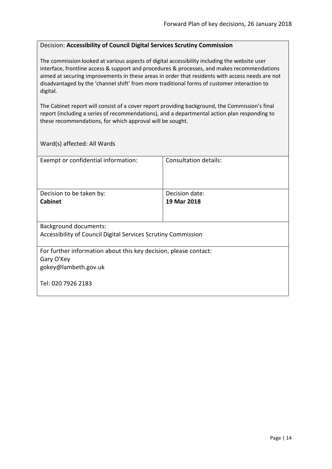#### <span id="page-13-0"></span>Decision: **Accessibility of Council Digital Services Scrutiny Commission**

The commission looked at various aspects of digital accessibility including the website user interface, frontline access & support and procedures & processes, and makes recommendations aimed at securing improvements in these areas in order that residents with access needs are not disadvantaged by the 'channel shift' from more traditional forms of customer interaction to digital.

The Cabinet report will consist of a cover report providing background, the Commission's final report (including a series of recommendations), and a departmental action plan responding to these recommendations, for which approval will be sought.

| Exempt or confidential information:                              | Consultation details: |  |
|------------------------------------------------------------------|-----------------------|--|
|                                                                  |                       |  |
|                                                                  |                       |  |
|                                                                  |                       |  |
| Decision to be taken by:                                         | Decision date:        |  |
| <b>Cabinet</b>                                                   | 19 Mar 2018           |  |
|                                                                  |                       |  |
|                                                                  |                       |  |
| <b>Background documents:</b>                                     |                       |  |
| Accessibility of Council Digital Services Scrutiny Commission    |                       |  |
|                                                                  |                       |  |
| For further information about this key decision, please contact: |                       |  |
| Gary O'Key                                                       |                       |  |
| gokey@lambeth.gov.uk                                             |                       |  |
|                                                                  |                       |  |
| Tel: 020 7926 2183                                               |                       |  |
|                                                                  |                       |  |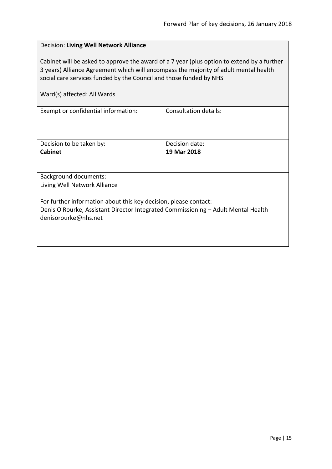<span id="page-14-0"></span>

| Decision: Living Well Network Alliance                                                                                                                                                                                                                                                  |                |  |
|-----------------------------------------------------------------------------------------------------------------------------------------------------------------------------------------------------------------------------------------------------------------------------------------|----------------|--|
| Cabinet will be asked to approve the award of a 7 year (plus option to extend by a further<br>3 years) Alliance Agreement which will encompass the majority of adult mental health<br>social care services funded by the Council and those funded by NHS<br>Ward(s) affected: All Wards |                |  |
| Consultation details:<br>Exempt or confidential information:                                                                                                                                                                                                                            |                |  |
|                                                                                                                                                                                                                                                                                         |                |  |
| Decision to be taken by:                                                                                                                                                                                                                                                                | Decision date: |  |
| Cabinet                                                                                                                                                                                                                                                                                 | 19 Mar 2018    |  |
|                                                                                                                                                                                                                                                                                         |                |  |
| <b>Background documents:</b>                                                                                                                                                                                                                                                            |                |  |
| Living Well Network Alliance                                                                                                                                                                                                                                                            |                |  |
| For further information about this key decision, please contact:                                                                                                                                                                                                                        |                |  |
| Denis O'Rourke, Assistant Director Integrated Commissioning - Adult Mental Health                                                                                                                                                                                                       |                |  |
| denisorourke@nhs.net                                                                                                                                                                                                                                                                    |                |  |
|                                                                                                                                                                                                                                                                                         |                |  |
|                                                                                                                                                                                                                                                                                         |                |  |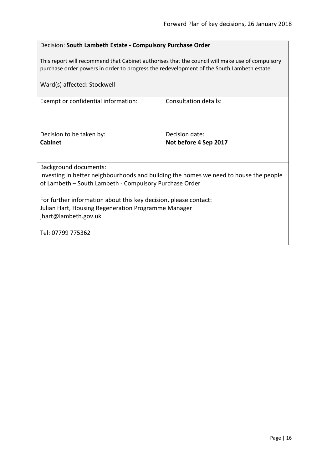# <span id="page-15-0"></span>Decision: **South Lambeth Estate - Compulsory Purchase Order**

This report will recommend that Cabinet authorises that the council will make use of compulsory purchase order powers in order to progress the redevelopment of the South Lambeth estate.

| Ward(s) affected: Stockwell                                                                                                                                                     |                       |  |
|---------------------------------------------------------------------------------------------------------------------------------------------------------------------------------|-----------------------|--|
| Exempt or confidential information:                                                                                                                                             | Consultation details: |  |
| Decision to be taken by:                                                                                                                                                        | Decision date:        |  |
| <b>Cabinet</b>                                                                                                                                                                  | Not before 4 Sep 2017 |  |
| <b>Background documents:</b><br>Investing in better neighbourhoods and building the homes we need to house the people<br>of Lambeth – South Lambeth - Compulsory Purchase Order |                       |  |
| For further information about this key decision, please contact:<br>Julian Hart, Housing Regeneration Programme Manager<br>jhart@lambeth.gov.uk<br>Tel: 07799 775362            |                       |  |
|                                                                                                                                                                                 |                       |  |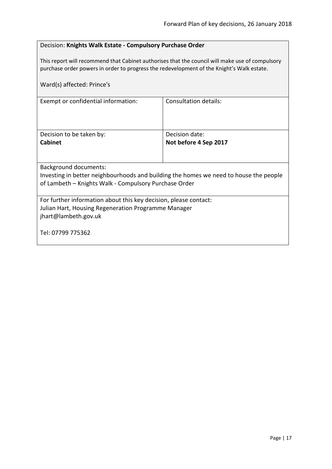# <span id="page-16-0"></span>Decision: **Knights Walk Estate - Compulsory Purchase Order**

This report will recommend that Cabinet authorises that the council will make use of compulsory purchase order powers in order to progress the redevelopment of the Knight's Walk estate.

| Ward(s) affected: Prince's                                                                                                                                                     |                       |  |
|--------------------------------------------------------------------------------------------------------------------------------------------------------------------------------|-----------------------|--|
| Exempt or confidential information:                                                                                                                                            | Consultation details: |  |
| Decision to be taken by:                                                                                                                                                       | Decision date:        |  |
| <b>Cabinet</b>                                                                                                                                                                 | Not before 4 Sep 2017 |  |
| <b>Background documents:</b><br>Investing in better neighbourhoods and building the homes we need to house the people<br>of Lambeth - Knights Walk - Compulsory Purchase Order |                       |  |
|                                                                                                                                                                                |                       |  |
| For further information about this key decision, please contact:<br>Julian Hart, Housing Regeneration Programme Manager<br>jhart@lambeth.gov.uk                                |                       |  |
| Tel: 07799 775362                                                                                                                                                              |                       |  |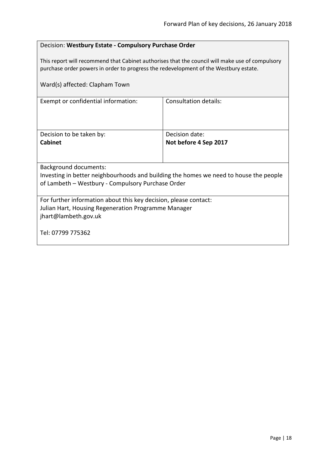# <span id="page-17-0"></span>Decision: **Westbury Estate - Compulsory Purchase Order**

This report will recommend that Cabinet authorises that the council will make use of compulsory purchase order powers in order to progress the redevelopment of the Westbury estate.

| Ward(s) affected: Clapham Town                                                        |                              |  |
|---------------------------------------------------------------------------------------|------------------------------|--|
| Exempt or confidential information:                                                   | <b>Consultation details:</b> |  |
| Decision to be taken by:                                                              | Decision date:               |  |
| <b>Cabinet</b>                                                                        | Not before 4 Sep 2017        |  |
|                                                                                       |                              |  |
| <b>Background documents:</b>                                                          |                              |  |
| Investing in better neighbourhoods and building the homes we need to house the people |                              |  |
| of Lambeth - Westbury - Compulsory Purchase Order                                     |                              |  |
| For further information about this key decision, please contact:                      |                              |  |
| Julian Hart, Housing Regeneration Programme Manager                                   |                              |  |
| jhart@lambeth.gov.uk                                                                  |                              |  |
| Tel: 07799 775362                                                                     |                              |  |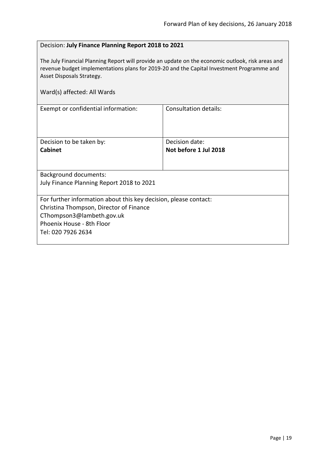# <span id="page-18-0"></span>Decision: **July Finance Planning Report 2018 to 2021**

The July Financial Planning Report will provide an update on the economic outlook, risk areas and revenue budget implementations plans for 2019-20 and the Capital Investment Programme and Asset Disposals Strategy.

| Ward(s) affected: All Wards                                                                                                                                                                 |                                         |  |
|---------------------------------------------------------------------------------------------------------------------------------------------------------------------------------------------|-----------------------------------------|--|
| Exempt or confidential information:                                                                                                                                                         | <b>Consultation details:</b>            |  |
| Decision to be taken by:<br><b>Cabinet</b>                                                                                                                                                  | Decision date:<br>Not before 1 Jul 2018 |  |
| <b>Background documents:</b><br>July Finance Planning Report 2018 to 2021                                                                                                                   |                                         |  |
| For further information about this key decision, please contact:<br>Christina Thompson, Director of Finance<br>CThompson3@lambeth.gov.uk<br>Phoenix House - 8th Floor<br>Tel: 020 7926 2634 |                                         |  |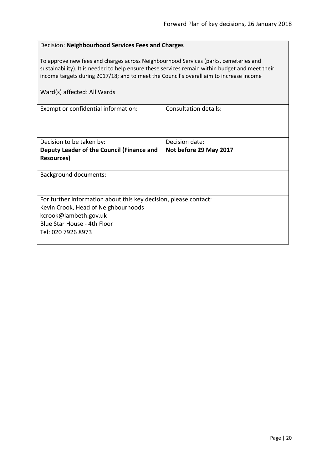# <span id="page-19-0"></span>Decision: **Neighbourhood Services Fees and Charges**

To approve new fees and charges across Neighbourhood Services (parks, cemeteries and sustainability). It is needed to help ensure these services remain within budget and meet their income targets during 2017/18; and to meet the Council's overall aim to increase income

| Exempt or confidential information:                              | Consultation details:  |  |
|------------------------------------------------------------------|------------------------|--|
|                                                                  |                        |  |
|                                                                  |                        |  |
|                                                                  |                        |  |
| Decision to be taken by:                                         | Decision date:         |  |
| Deputy Leader of the Council (Finance and                        | Not before 29 May 2017 |  |
| Resources)                                                       |                        |  |
|                                                                  |                        |  |
| <b>Background documents:</b>                                     |                        |  |
|                                                                  |                        |  |
|                                                                  |                        |  |
| For further information about this key decision, please contact: |                        |  |
| Kevin Crook, Head of Neighbourhoods                              |                        |  |
| kcrook@lambeth.gov.uk                                            |                        |  |
| Blue Star House - 4th Floor                                      |                        |  |
| Tel: 020 7926 8973                                               |                        |  |
|                                                                  |                        |  |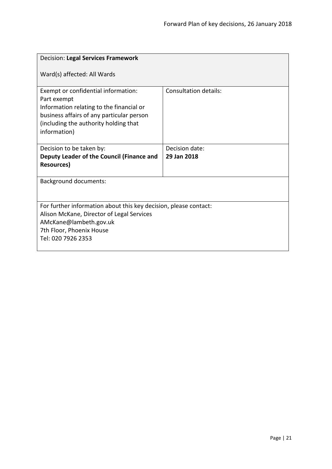<span id="page-20-0"></span>

| Decision: Legal Services Framework                                                                                                                                                                   |                              |  |
|------------------------------------------------------------------------------------------------------------------------------------------------------------------------------------------------------|------------------------------|--|
| Ward(s) affected: All Wards                                                                                                                                                                          |                              |  |
| Exempt or confidential information:<br>Part exempt<br>Information relating to the financial or<br>business affairs of any particular person<br>(including the authority holding that<br>information) | <b>Consultation details:</b> |  |
| Decision to be taken by:                                                                                                                                                                             | Decision date:               |  |
| Deputy Leader of the Council (Finance and                                                                                                                                                            | 29 Jan 2018                  |  |
| <b>Resources)</b>                                                                                                                                                                                    |                              |  |
| <b>Background documents:</b>                                                                                                                                                                         |                              |  |
|                                                                                                                                                                                                      |                              |  |
| For further information about this key decision, please contact:                                                                                                                                     |                              |  |
| Alison McKane, Director of Legal Services                                                                                                                                                            |                              |  |
| AMcKane@lambeth.gov.uk<br>7th Floor, Phoenix House                                                                                                                                                   |                              |  |
| Tel: 020 7926 2353                                                                                                                                                                                   |                              |  |
|                                                                                                                                                                                                      |                              |  |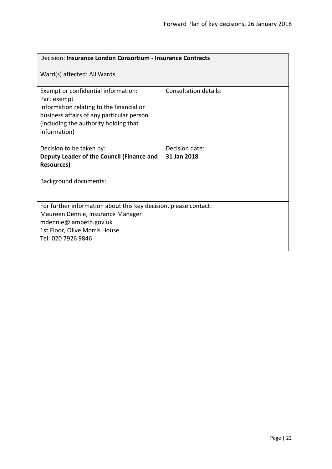<span id="page-21-0"></span>

| Decision: Insurance London Consortium - Insurance Contracts                                                                                                                                          |                              |  |
|------------------------------------------------------------------------------------------------------------------------------------------------------------------------------------------------------|------------------------------|--|
| Ward(s) affected: All Wards                                                                                                                                                                          |                              |  |
| Exempt or confidential information:<br>Part exempt<br>Information relating to the financial or<br>business affairs of any particular person<br>(including the authority holding that<br>information) | <b>Consultation details:</b> |  |
| Decision to be taken by:                                                                                                                                                                             | Decision date:               |  |
| Deputy Leader of the Council (Finance and                                                                                                                                                            | 31 Jan 2018                  |  |
| <b>Resources)</b>                                                                                                                                                                                    |                              |  |
| <b>Background documents:</b>                                                                                                                                                                         |                              |  |
|                                                                                                                                                                                                      |                              |  |
| For further information about this key decision, please contact:                                                                                                                                     |                              |  |
| Maureen Dennie, Insurance Manager                                                                                                                                                                    |                              |  |
| mdennie@lambeth.gov.uk                                                                                                                                                                               |                              |  |
| 1st Floor, Olive Morris House<br>Tel: 020 7926 9846                                                                                                                                                  |                              |  |
|                                                                                                                                                                                                      |                              |  |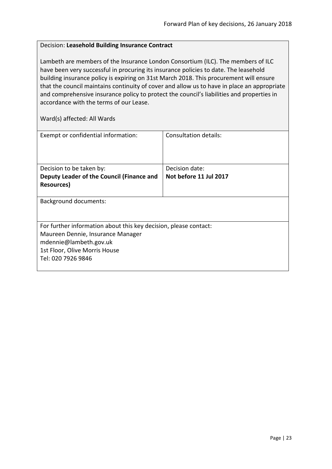# <span id="page-22-0"></span>Decision: **Leasehold Building Insurance Contract**

Lambeth are members of the Insurance London Consortium (ILC). The members of ILC have been very successful in procuring its insurance policies to date. The leasehold building insurance policy is expiring on 31st March 2018. This procurement will ensure that the council maintains continuity of cover and allow us to have in place an appropriate and comprehensive insurance policy to protect the council's liabilities and properties in accordance with the terms of our Lease.

| Exempt or confidential information:                              | Consultation details:  |  |
|------------------------------------------------------------------|------------------------|--|
|                                                                  |                        |  |
|                                                                  |                        |  |
| Decision to be taken by:                                         | Decision date:         |  |
| Deputy Leader of the Council (Finance and                        | Not before 11 Jul 2017 |  |
| Resources)                                                       |                        |  |
|                                                                  |                        |  |
| <b>Background documents:</b>                                     |                        |  |
|                                                                  |                        |  |
|                                                                  |                        |  |
| For further information about this key decision, please contact: |                        |  |
| Maureen Dennie, Insurance Manager                                |                        |  |
| mdennie@lambeth.gov.uk                                           |                        |  |
| 1st Floor, Olive Morris House                                    |                        |  |
| Tel: 020 7926 9846                                               |                        |  |
|                                                                  |                        |  |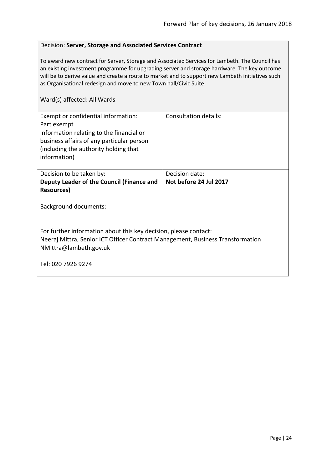#### <span id="page-23-0"></span>Decision: **Server, Storage and Associated Services Contract**

To award new contract for Server, Storage and Associated Services for Lambeth. The Council has an existing investment programme for upgrading server and storage hardware. The key outcome will be to derive value and create a route to market and to support new Lambeth initiatives such as Organisational redesign and move to new Town hall/Civic Suite.

| Exempt or confidential information:<br>Part exempt<br>Information relating to the financial or<br>business affairs of any particular person<br>(including the authority holding that)<br>information) | Consultation details:  |  |
|-------------------------------------------------------------------------------------------------------------------------------------------------------------------------------------------------------|------------------------|--|
| Decision to be taken by:                                                                                                                                                                              | Decision date:         |  |
| Deputy Leader of the Council (Finance and                                                                                                                                                             | Not before 24 Jul 2017 |  |
| <b>Resources</b> )                                                                                                                                                                                    |                        |  |
| <b>Background documents:</b>                                                                                                                                                                          |                        |  |
| For further information about this key decision, please contact:<br>Neeraj Mittra, Senior ICT Officer Contract Management, Business Transformation<br>NMittra@lambeth.gov.uk                          |                        |  |
| Tel: 020 7926 9274                                                                                                                                                                                    |                        |  |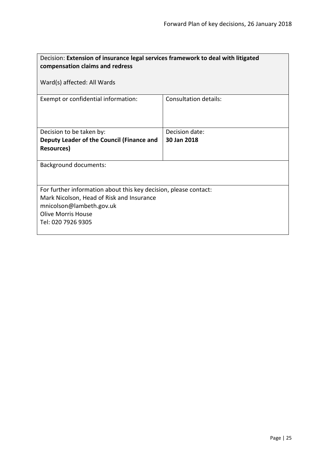<span id="page-24-0"></span>

| Decision: Extension of insurance legal services framework to deal with litigated<br>compensation claims and redress |                       |  |
|---------------------------------------------------------------------------------------------------------------------|-----------------------|--|
| Ward(s) affected: All Wards                                                                                         |                       |  |
| Exempt or confidential information:                                                                                 | Consultation details: |  |
| Decision to be taken by:                                                                                            | Decision date:        |  |
| Deputy Leader of the Council (Finance and                                                                           | 30 Jan 2018           |  |
| <b>Resources</b> )                                                                                                  |                       |  |
| <b>Background documents:</b>                                                                                        |                       |  |
| For further information about this key decision, please contact:<br>Mark Nicolson, Head of Risk and Insurance       |                       |  |
| mnicolson@lambeth.gov.uk                                                                                            |                       |  |
| <b>Olive Morris House</b>                                                                                           |                       |  |
| Tel: 020 7926 9305                                                                                                  |                       |  |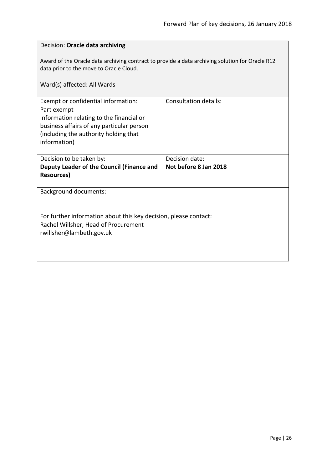<span id="page-25-0"></span>

| Decision: Oracle data archiving                                                                                                                                                                      |                       |  |
|------------------------------------------------------------------------------------------------------------------------------------------------------------------------------------------------------|-----------------------|--|
| Award of the Oracle data archiving contract to provide a data archiving solution for Oracle R12<br>data prior to the move to Oracle Cloud.                                                           |                       |  |
| Ward(s) affected: All Wards                                                                                                                                                                          |                       |  |
| Exempt or confidential information:<br>Part exempt<br>Information relating to the financial or<br>business affairs of any particular person<br>(including the authority holding that<br>information) | Consultation details: |  |
| Decision to be taken by:                                                                                                                                                                             | Decision date:        |  |
| Deputy Leader of the Council (Finance and<br><b>Resources)</b>                                                                                                                                       | Not before 8 Jan 2018 |  |
| <b>Background documents:</b>                                                                                                                                                                         |                       |  |
| For further information about this key decision, please contact:<br>Rachel Willsher, Head of Procurement<br>rwillsher@lambeth.gov.uk                                                                 |                       |  |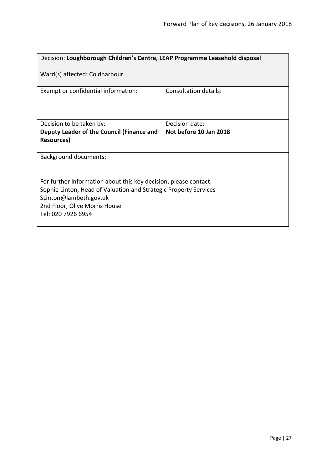<span id="page-26-0"></span>

| Decision: Loughborough Children's Centre, LEAP Programme Leasehold disposal                                                                                                                                           |                        |  |
|-----------------------------------------------------------------------------------------------------------------------------------------------------------------------------------------------------------------------|------------------------|--|
| Ward(s) affected: Coldharbour                                                                                                                                                                                         |                        |  |
| Exempt or confidential information:                                                                                                                                                                                   | Consultation details:  |  |
| Decision to be taken by:                                                                                                                                                                                              | Decision date:         |  |
| Deputy Leader of the Council (Finance and                                                                                                                                                                             | Not before 10 Jan 2018 |  |
| <b>Resources</b> )                                                                                                                                                                                                    |                        |  |
| <b>Background documents:</b>                                                                                                                                                                                          |                        |  |
| For further information about this key decision, please contact:<br>Sophie Linton, Head of Valuation and Strategic Property Services<br>SLinton@lambeth.gov.uk<br>2nd Floor, Olive Morris House<br>Tel: 020 7926 6954 |                        |  |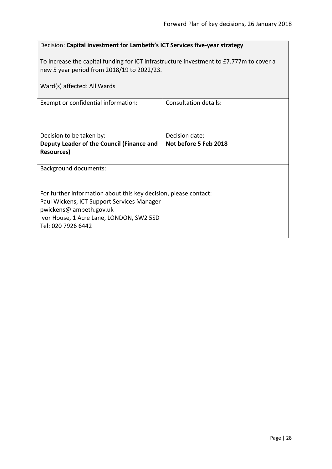<span id="page-27-0"></span>

| Decision: Capital investment for Lambeth's ICT Services five-year strategy                                                                                                                                  |  |  |
|-------------------------------------------------------------------------------------------------------------------------------------------------------------------------------------------------------------|--|--|
| To increase the capital funding for ICT infrastructure investment to £7.777m to cover a<br>new 5 year period from 2018/19 to 2022/23.                                                                       |  |  |
| Ward(s) affected: All Wards                                                                                                                                                                                 |  |  |
| Consultation details:                                                                                                                                                                                       |  |  |
|                                                                                                                                                                                                             |  |  |
| Decision date:                                                                                                                                                                                              |  |  |
| Not before 5 Feb 2018                                                                                                                                                                                       |  |  |
| <b>Background documents:</b>                                                                                                                                                                                |  |  |
| For further information about this key decision, please contact:<br>Paul Wickens, ICT Support Services Manager<br>pwickens@lambeth.gov.uk<br>Ivor House, 1 Acre Lane, LONDON, SW2 5SD<br>Tel: 020 7926 6442 |  |  |
|                                                                                                                                                                                                             |  |  |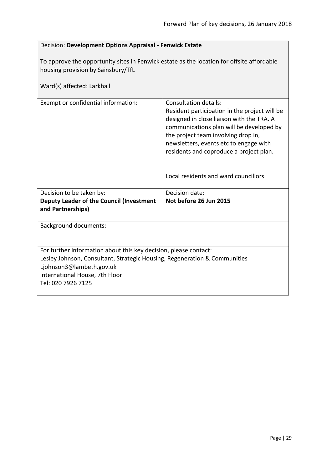<span id="page-28-0"></span>

| Decision: Development Options Appraisal - Fenwick Estate                                                                                                                  |                                                                                                                                                                                                                                                                                                                                     |  |
|---------------------------------------------------------------------------------------------------------------------------------------------------------------------------|-------------------------------------------------------------------------------------------------------------------------------------------------------------------------------------------------------------------------------------------------------------------------------------------------------------------------------------|--|
| To approve the opportunity sites in Fenwick estate as the location for offsite affordable<br>housing provision by Sainsbury/TfL                                           |                                                                                                                                                                                                                                                                                                                                     |  |
| Ward(s) affected: Larkhall                                                                                                                                                |                                                                                                                                                                                                                                                                                                                                     |  |
| Exempt or confidential information:                                                                                                                                       | Consultation details:<br>Resident participation in the project will be<br>designed in close liaison with the TRA. A<br>communications plan will be developed by<br>the project team involving drop in,<br>newsletters, events etc to engage with<br>residents and coproduce a project plan.<br>Local residents and ward councillors |  |
|                                                                                                                                                                           |                                                                                                                                                                                                                                                                                                                                     |  |
| Decision to be taken by:<br>Deputy Leader of the Council (Investment<br>and Partnerships)                                                                                 | Decision date:<br>Not before 26 Jun 2015                                                                                                                                                                                                                                                                                            |  |
| <b>Background documents:</b>                                                                                                                                              |                                                                                                                                                                                                                                                                                                                                     |  |
| For further information about this key decision, please contact:<br>Lesley Johnson, Consultant, Strategic Housing, Regeneration & Communities<br>Ljohnson3@lambeth.gov.uk |                                                                                                                                                                                                                                                                                                                                     |  |

International House, 7th Floor

Tel: 020 7926 7125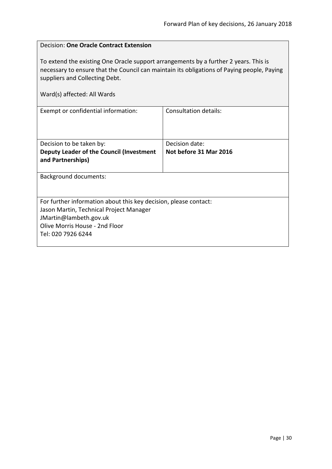<span id="page-29-0"></span>

| Decision: One Oracle Contract Extension                                                                                                                                                                                                             |                        |  |
|-----------------------------------------------------------------------------------------------------------------------------------------------------------------------------------------------------------------------------------------------------|------------------------|--|
| To extend the existing One Oracle support arrangements by a further 2 years. This is<br>necessary to ensure that the Council can maintain its obligations of Paying people, Paying<br>suppliers and Collecting Debt.<br>Ward(s) affected: All Wards |                        |  |
| Exempt or confidential information:                                                                                                                                                                                                                 | Consultation details:  |  |
|                                                                                                                                                                                                                                                     |                        |  |
| Decision to be taken by:                                                                                                                                                                                                                            | Decision date:         |  |
| Deputy Leader of the Council (Investment<br>and Partnerships)                                                                                                                                                                                       | Not before 31 Mar 2016 |  |
| <b>Background documents:</b>                                                                                                                                                                                                                        |                        |  |
|                                                                                                                                                                                                                                                     |                        |  |
| For further information about this key decision, please contact:                                                                                                                                                                                    |                        |  |
| Jason Martin, Technical Project Manager                                                                                                                                                                                                             |                        |  |
| JMartin@lambeth.gov.uk<br>Olive Morris House - 2nd Floor                                                                                                                                                                                            |                        |  |
| Tel: 020 7926 6244                                                                                                                                                                                                                                  |                        |  |
|                                                                                                                                                                                                                                                     |                        |  |

 $\overline{1}$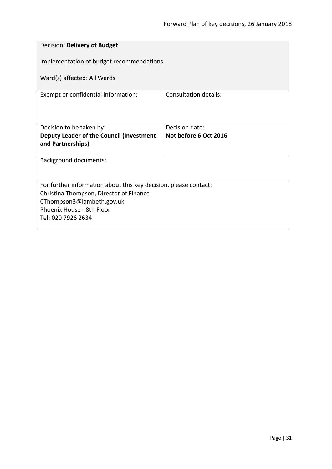<span id="page-30-0"></span>

| Decision: Delivery of Budget                                     |                       |  |
|------------------------------------------------------------------|-----------------------|--|
| Implementation of budget recommendations                         |                       |  |
| Ward(s) affected: All Wards                                      |                       |  |
| Exempt or confidential information:                              | Consultation details: |  |
|                                                                  |                       |  |
| Decision to be taken by:                                         | Decision date:        |  |
| Deputy Leader of the Council (Investment                         | Not before 6 Oct 2016 |  |
| and Partnerships)                                                |                       |  |
| Background documents:                                            |                       |  |
|                                                                  |                       |  |
| For further information about this key decision, please contact: |                       |  |
| Christina Thompson, Director of Finance                          |                       |  |
| CThompson3@lambeth.gov.uk                                        |                       |  |
| Phoenix House - 8th Floor                                        |                       |  |
| Tel: 020 7926 2634                                               |                       |  |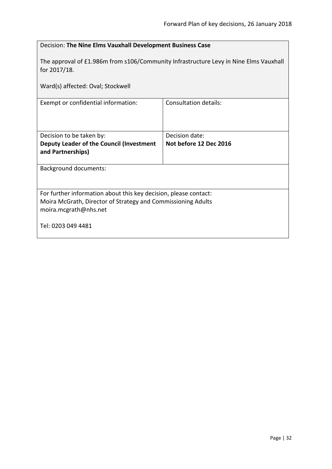<span id="page-31-0"></span>

| Decision: The Nine Elms Vauxhall Development Business Case                                                                                                |                              |
|-----------------------------------------------------------------------------------------------------------------------------------------------------------|------------------------------|
| The approval of £1.986m from s106/Community Infrastructure Levy in Nine Elms Vauxhall<br>for 2017/18.                                                     |                              |
| Ward(s) affected: Oval; Stockwell                                                                                                                         |                              |
| Exempt or confidential information:                                                                                                                       | <b>Consultation details:</b> |
| Decision to be taken by:                                                                                                                                  | Decision date:               |
| <b>Deputy Leader of the Council (Investment</b><br>and Partnerships)                                                                                      | Not before 12 Dec 2016       |
| <b>Background documents:</b>                                                                                                                              |                              |
| For further information about this key decision, please contact:<br>Moira McGrath, Director of Strategy and Commissioning Adults<br>moira.mcgrath@nhs.net |                              |
| Tel: 0203 049 4481                                                                                                                                        |                              |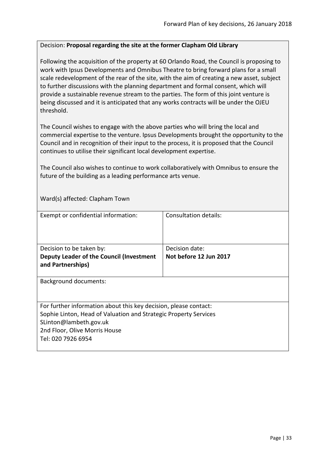#### <span id="page-32-0"></span>Decision: **Proposal regarding the site at the former Clapham Old Library**

Following the acquisition of the property at 60 Orlando Road, the Council is proposing to work with Ipsus Developments and Omnibus Theatre to bring forward plans for a small scale redevelopment of the rear of the site, with the aim of creating a new asset, subject to further discussions with the planning department and formal consent, which will provide a sustainable revenue stream to the parties. The form of this joint venture is being discussed and it is anticipated that any works contracts will be under the OJEU threshold.

The Council wishes to engage with the above parties who will bring the local and commercial expertise to the venture. Ipsus Developments brought the opportunity to the Council and in recognition of their input to the process, it is proposed that the Council continues to utilise their significant local development expertise.

The Council also wishes to continue to work collaboratively with Omnibus to ensure the future of the building as a leading performance arts venue.

Ward(s) affected: Clapham Town

| Exempt or confidential information:                                                                                                                                                                                   | Consultation details:  |
|-----------------------------------------------------------------------------------------------------------------------------------------------------------------------------------------------------------------------|------------------------|
| Decision to be taken by:                                                                                                                                                                                              | Decision date:         |
| Deputy Leader of the Council (Investment<br>and Partnerships)                                                                                                                                                         | Not before 12 Jun 2017 |
| <b>Background documents:</b>                                                                                                                                                                                          |                        |
| For further information about this key decision, please contact:<br>Sophie Linton, Head of Valuation and Strategic Property Services<br>SLinton@lambeth.gov.uk<br>2nd Floor, Olive Morris House<br>Tel: 020 7926 6954 |                        |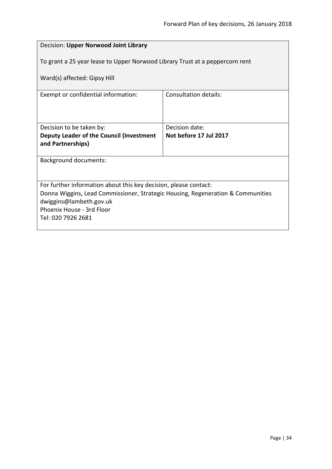<span id="page-33-0"></span>

| Decision: Upper Norwood Joint Library                                           |                        |  |
|---------------------------------------------------------------------------------|------------------------|--|
| To grant a 25 year lease to Upper Norwood Library Trust at a peppercorn rent    |                        |  |
| Ward(s) affected: Gipsy Hill                                                    |                        |  |
| Exempt or confidential information:                                             | Consultation details:  |  |
|                                                                                 |                        |  |
| Decision to be taken by:                                                        | Decision date:         |  |
| Deputy Leader of the Council (Investment                                        | Not before 17 Jul 2017 |  |
| and Partnerships)                                                               |                        |  |
| <b>Background documents:</b>                                                    |                        |  |
|                                                                                 |                        |  |
| For further information about this key decision, please contact:                |                        |  |
| Donna Wiggins, Lead Commissioner, Strategic Housing, Regeneration & Communities |                        |  |
| dwiggins@lambeth.gov.uk<br>Phoenix House - 3rd Floor                            |                        |  |
| Tel: 020 7926 2681                                                              |                        |  |
|                                                                                 |                        |  |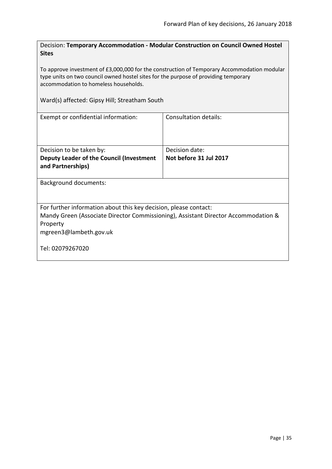<span id="page-34-0"></span>Decision: **Temporary Accommodation - Modular Construction on Council Owned Hostel Sites**

To approve investment of £3,000,000 for the construction of Temporary Accommodation modular type units on two council owned hostel sites for the purpose of providing temporary accommodation to homeless households.

Ward(s) affected: Gipsy Hill; Streatham South

| Exempt or confidential information:                                                                                                                                                                              | Consultation details:                    |
|------------------------------------------------------------------------------------------------------------------------------------------------------------------------------------------------------------------|------------------------------------------|
| Decision to be taken by:<br>Deputy Leader of the Council (Investment<br>and Partnerships)                                                                                                                        | Decision date:<br>Not before 31 Jul 2017 |
| Background documents:                                                                                                                                                                                            |                                          |
| For further information about this key decision, please contact:<br>Mandy Green (Associate Director Commissioning), Assistant Director Accommodation &<br>Property<br>mgreen3@lambeth.gov.uk<br>Tel: 02079267020 |                                          |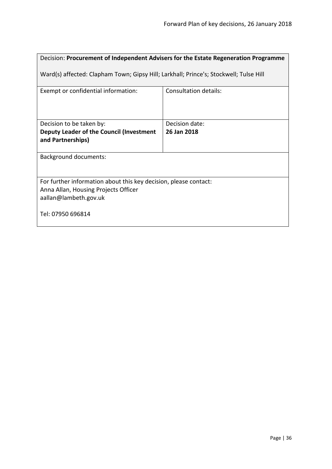<span id="page-35-0"></span>

| Decision: Procurement of Independent Advisers for the Estate Regeneration Programme                                               |                       |  |
|-----------------------------------------------------------------------------------------------------------------------------------|-----------------------|--|
| Ward(s) affected: Clapham Town; Gipsy Hill; Larkhall; Prince's; Stockwell; Tulse Hill                                             |                       |  |
| Exempt or confidential information:                                                                                               | Consultation details: |  |
| Decision to be taken by:                                                                                                          | Decision date:        |  |
| Deputy Leader of the Council (Investment<br>and Partnerships)                                                                     | 26 Jan 2018           |  |
| <b>Background documents:</b>                                                                                                      |                       |  |
| For further information about this key decision, please contact:<br>Anna Allan, Housing Projects Officer<br>aallan@lambeth.gov.uk |                       |  |
| Tel: 07950 696814                                                                                                                 |                       |  |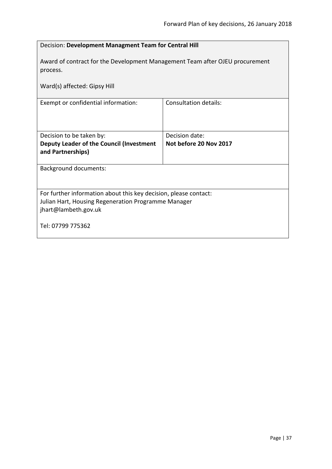| Decision: Development Managment Team for Central Hill                                    |                              |  |
|------------------------------------------------------------------------------------------|------------------------------|--|
| Award of contract for the Development Management Team after OJEU procurement<br>process. |                              |  |
| Ward(s) affected: Gipsy Hill                                                             |                              |  |
| Exempt or confidential information:                                                      | <b>Consultation details:</b> |  |
| Decision to be taken by:                                                                 | Decision date:               |  |
| Deputy Leader of the Council (Investment<br>and Partnerships)                            | Not before 20 Nov 2017       |  |
| <b>Background documents:</b>                                                             |                              |  |
| For further information about this key decision, please contact:                         |                              |  |
| Julian Hart, Housing Regeneration Programme Manager<br>jhart@lambeth.gov.uk              |                              |  |
| Tel: 07799 775362                                                                        |                              |  |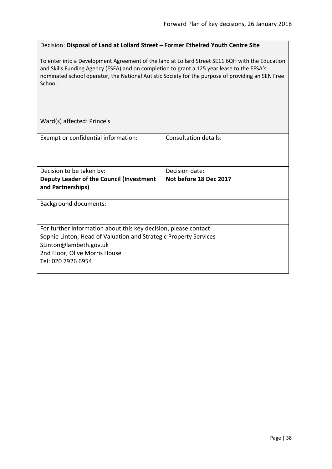## Decision: **Disposal of Land at Lollard Street – Former Ethelred Youth Centre Site**

To enter into a Development Agreement of the land at Lollard Street SE11 6QH with the Education and Skills Funding Agency (ESFA) and on completion to grant a 125 year lease to the EFSA's nominated school operator, the National Autistic Society for the purpose of providing an SEN Free School.

Ward(s) affected: Prince's

| Exempt or confidential information:                                                                                                                                                                                   | Consultation details:  |
|-----------------------------------------------------------------------------------------------------------------------------------------------------------------------------------------------------------------------|------------------------|
|                                                                                                                                                                                                                       |                        |
| Decision to be taken by:                                                                                                                                                                                              | Decision date:         |
| Deputy Leader of the Council (Investment<br>and Partnerships)                                                                                                                                                         | Not before 18 Dec 2017 |
| <b>Background documents:</b>                                                                                                                                                                                          |                        |
| For further information about this key decision, please contact:<br>Sophie Linton, Head of Valuation and Strategic Property Services<br>SLinton@lambeth.gov.uk<br>2nd Floor, Olive Morris House<br>Tel: 020 7926 6954 |                        |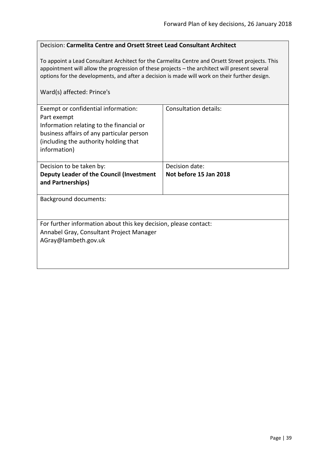## Decision: **Carmelita Centre and Orsett Street Lead Consultant Architect**

To appoint a Lead Consultant Architect for the Carmelita Centre and Orsett Street projects. This appointment will allow the progression of these projects – the architect will present several options for the developments, and after a decision is made will work on their further design.

## Ward(s) affected: Prince's

| Exempt or confidential information:<br>Part exempt<br>Information relating to the financial or<br>business affairs of any particular person<br>(including the authority holding that<br>information) | Consultation details:  |
|------------------------------------------------------------------------------------------------------------------------------------------------------------------------------------------------------|------------------------|
| Decision to be taken by:                                                                                                                                                                             | Decision date:         |
| Deputy Leader of the Council (Investment<br>and Partnerships)                                                                                                                                        | Not before 15 Jan 2018 |
| Background documents:                                                                                                                                                                                |                        |
| For further information about this key decision, please contact:<br>Annabel Gray, Consultant Project Manager<br>AGray@lambeth.gov.uk                                                                 |                        |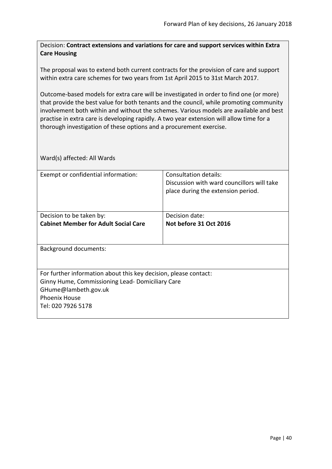Decision: **Contract extensions and variations for care and support services within Extra Care Housing**

The proposal was to extend both current contracts for the provision of care and support within extra care schemes for two years from 1st April 2015 to 31st March 2017.

Outcome-based models for extra care will be investigated in order to find one (or more) that provide the best value for both tenants and the council, while promoting community involvement both within and without the schemes. Various models are available and best practise in extra care is developing rapidly. A two year extension will allow time for a thorough investigation of these options and a procurement exercise.

| Exempt or confidential information:                              | Consultation details:<br>Discussion with ward councillors will take |
|------------------------------------------------------------------|---------------------------------------------------------------------|
|                                                                  | place during the extension period.                                  |
|                                                                  |                                                                     |
| Decision to be taken by:                                         | Decision date:                                                      |
| <b>Cabinet Member for Adult Social Care</b>                      | Not before 31 Oct 2016                                              |
| <b>Background documents:</b>                                     |                                                                     |
|                                                                  |                                                                     |
| For further information about this key decision, please contact: |                                                                     |
| Ginny Hume, Commissioning Lead-Domiciliary Care                  |                                                                     |
| GHume@lambeth.gov.uk                                             |                                                                     |
| <b>Phoenix House</b>                                             |                                                                     |
| Tel: 020 7926 5178                                               |                                                                     |
|                                                                  |                                                                     |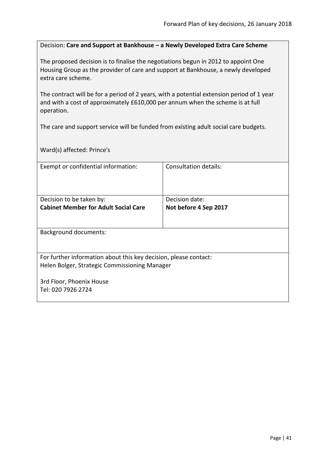Decision: **Care and Support at Bankhouse – a Newly Developed Extra Care Scheme**

The proposed decision is to finalise the negotiations begun in 2012 to appoint One Housing Group as the provider of care and support at Bankhouse, a newly developed extra care scheme.

The contract will be for a period of 2 years, with a potential extension period of 1 year and with a cost of approximately £610,000 per annum when the scheme is at full operation.

The care and support service will be funded from existing adult social care budgets.

Ward(s) affected: Prince's

| Exempt or confidential information:                              | Consultation details: |
|------------------------------------------------------------------|-----------------------|
|                                                                  |                       |
|                                                                  |                       |
| Decision to be taken by:                                         | Decision date:        |
| <b>Cabinet Member for Adult Social Care</b>                      | Not before 4 Sep 2017 |
|                                                                  |                       |
|                                                                  |                       |
| <b>Background documents:</b>                                     |                       |
|                                                                  |                       |
| For further information about this key decision, please contact: |                       |
| Helen Bolger, Strategic Commissioning Manager                    |                       |
|                                                                  |                       |
| 3rd Floor, Phoenix House                                         |                       |
| Tel: 020 7926 2724                                               |                       |
|                                                                  |                       |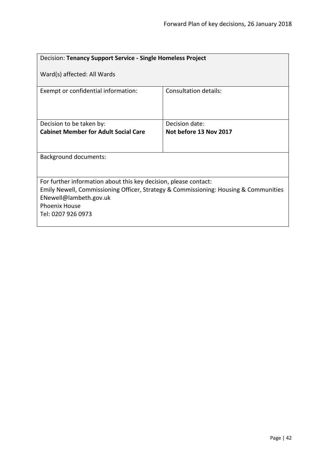| Decision: Tenancy Support Service - Single Homeless Project                                                                              |                                                                                      |  |
|------------------------------------------------------------------------------------------------------------------------------------------|--------------------------------------------------------------------------------------|--|
| Ward(s) affected: All Wards                                                                                                              |                                                                                      |  |
| Exempt or confidential information:                                                                                                      | Consultation details:                                                                |  |
| Decision to be taken by:                                                                                                                 | Decision date:                                                                       |  |
| <b>Cabinet Member for Adult Social Care</b>                                                                                              | Not before 13 Nov 2017                                                               |  |
|                                                                                                                                          |                                                                                      |  |
| <b>Background documents:</b>                                                                                                             |                                                                                      |  |
|                                                                                                                                          |                                                                                      |  |
| For further information about this key decision, please contact:<br>ENewell@lambeth.gov.uk<br><b>Phoenix House</b><br>Tel: 0207 926 0973 | Emily Newell, Commissioning Officer, Strategy & Commissioning: Housing & Communities |  |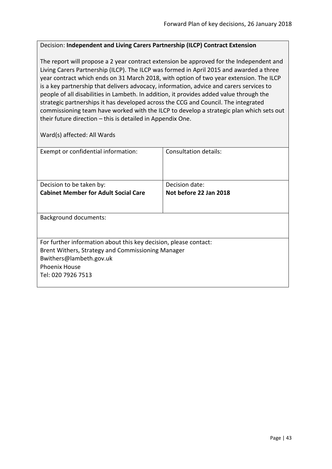## Decision: **Independent and Living Carers Partnership (ILCP) Contract Extension**

The report will propose a 2 year contract extension be approved for the Independent and Living Carers Partnership (ILCP). The ILCP was formed in April 2015 and awarded a three year contract which ends on 31 March 2018, with option of two year extension. The ILCP is a key partnership that delivers advocacy, information, advice and carers services to people of all disabilities in Lambeth. In addition, it provides added value through the strategic partnerships it has developed across the CCG and Council. The integrated commissioning team have worked with the ILCP to develop a strategic plan which sets out their future direction – this is detailed in Appendix One.

| Exempt or confidential information:                              | Consultation details:  |
|------------------------------------------------------------------|------------------------|
|                                                                  |                        |
| Decision to be taken by:                                         | Decision date:         |
| <b>Cabinet Member for Adult Social Care</b>                      | Not before 22 Jan 2018 |
|                                                                  |                        |
| <b>Background documents:</b>                                     |                        |
|                                                                  |                        |
| For further information about this key decision, please contact: |                        |
| Brent Withers, Strategy and Commissioning Manager                |                        |
| Bwithers@lambeth.gov.uk                                          |                        |
| <b>Phoenix House</b>                                             |                        |
| Tel: 020 7926 7513                                               |                        |
|                                                                  |                        |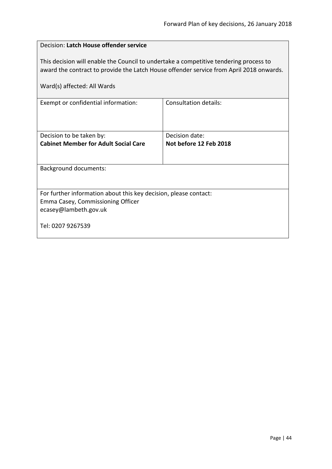| Decision: Latch House offender service                                                                                                                                                                          |                              |  |
|-----------------------------------------------------------------------------------------------------------------------------------------------------------------------------------------------------------------|------------------------------|--|
| This decision will enable the Council to undertake a competitive tendering process to<br>award the contract to provide the Latch House offender service from April 2018 onwards.<br>Ward(s) affected: All Wards |                              |  |
| Exempt or confidential information:                                                                                                                                                                             | <b>Consultation details:</b> |  |
|                                                                                                                                                                                                                 |                              |  |
| Decision to be taken by:                                                                                                                                                                                        | Decision date:               |  |
| <b>Cabinet Member for Adult Social Care</b>                                                                                                                                                                     | Not before 12 Feb 2018       |  |
|                                                                                                                                                                                                                 |                              |  |
| <b>Background documents:</b>                                                                                                                                                                                    |                              |  |
|                                                                                                                                                                                                                 |                              |  |
| For further information about this key decision, please contact:                                                                                                                                                |                              |  |
| Emma Casey, Commissioning Officer                                                                                                                                                                               |                              |  |
| ecasey@lambeth.gov.uk                                                                                                                                                                                           |                              |  |
| Tel: 0207 9267539                                                                                                                                                                                               |                              |  |
|                                                                                                                                                                                                                 |                              |  |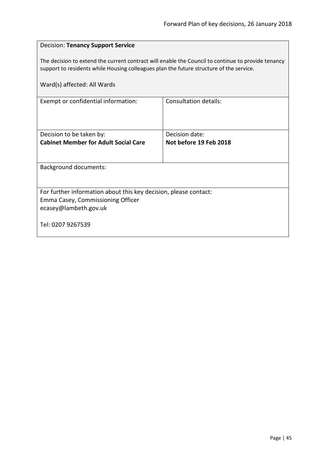| <b>Decision: Tenancy Support Service</b>                                                                                                                                                      |                                          |  |
|-----------------------------------------------------------------------------------------------------------------------------------------------------------------------------------------------|------------------------------------------|--|
| The decision to extend the current contract will enable the Council to continue to provide tenancy<br>support to residents while Housing colleagues plan the future structure of the service. |                                          |  |
| Ward(s) affected: All Wards                                                                                                                                                                   |                                          |  |
| Exempt or confidential information:                                                                                                                                                           | Consultation details:                    |  |
| Decision to be taken by:<br><b>Cabinet Member for Adult Social Care</b>                                                                                                                       | Decision date:<br>Not before 19 Feb 2018 |  |
| <b>Background documents:</b>                                                                                                                                                                  |                                          |  |
| For further information about this key decision, please contact:<br>Emma Casey, Commissioning Officer<br>ecasey@lambeth.gov.uk                                                                |                                          |  |
| Tel: 0207 9267539                                                                                                                                                                             |                                          |  |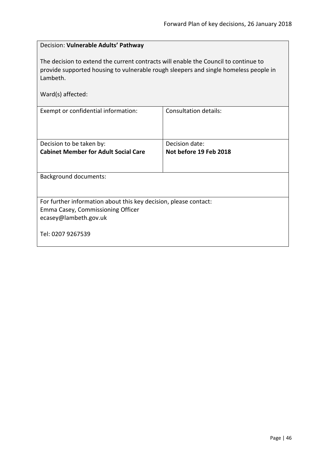| Decision: Vulnerable Adults' Pathway                                                                                                                                                                         |                              |  |
|--------------------------------------------------------------------------------------------------------------------------------------------------------------------------------------------------------------|------------------------------|--|
| The decision to extend the current contracts will enable the Council to continue to<br>provide supported housing to vulnerable rough sleepers and single homeless people in<br>Lambeth.<br>Ward(s) affected: |                              |  |
| Exempt or confidential information:                                                                                                                                                                          | <b>Consultation details:</b> |  |
|                                                                                                                                                                                                              |                              |  |
| Decision to be taken by:                                                                                                                                                                                     | Decision date:               |  |
| <b>Cabinet Member for Adult Social Care</b>                                                                                                                                                                  | Not before 19 Feb 2018       |  |
|                                                                                                                                                                                                              |                              |  |
| Background documents:                                                                                                                                                                                        |                              |  |
|                                                                                                                                                                                                              |                              |  |
| For further information about this key decision, please contact:                                                                                                                                             |                              |  |
| Emma Casey, Commissioning Officer                                                                                                                                                                            |                              |  |
| ecasey@lambeth.gov.uk                                                                                                                                                                                        |                              |  |
| Tel: 0207 9267539                                                                                                                                                                                            |                              |  |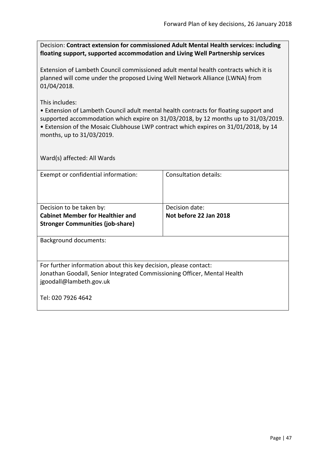Decision: **Contract extension for commissioned Adult Mental Health services: including floating support, supported accommodation and Living Well Partnership services**

Extension of Lambeth Council commissioned adult mental health contracts which it is planned will come under the proposed Living Well Network Alliance (LWNA) from 01/04/2018.

This includes:

• Extension of Lambeth Council adult mental health contracts for floating support and supported accommodation which expire on 31/03/2018, by 12 months up to 31/03/2019. • Extension of the Mosaic Clubhouse LWP contract which expires on 31/01/2018, by 14

months, up to 31/03/2019.

| Exempt or confidential information:                                      | Consultation details:  |
|--------------------------------------------------------------------------|------------------------|
|                                                                          |                        |
|                                                                          |                        |
| Decision to be taken by:                                                 | Decision date:         |
| <b>Cabinet Member for Healthier and</b>                                  | Not before 22 Jan 2018 |
| <b>Stronger Communities (job-share)</b>                                  |                        |
|                                                                          |                        |
| <b>Background documents:</b>                                             |                        |
|                                                                          |                        |
|                                                                          |                        |
| For further information about this key decision, please contact:         |                        |
| Jonathan Goodall, Senior Integrated Commissioning Officer, Mental Health |                        |
| jgoodall@lambeth.gov.uk                                                  |                        |
|                                                                          |                        |
| Tel: 020 7926 4642                                                       |                        |
|                                                                          |                        |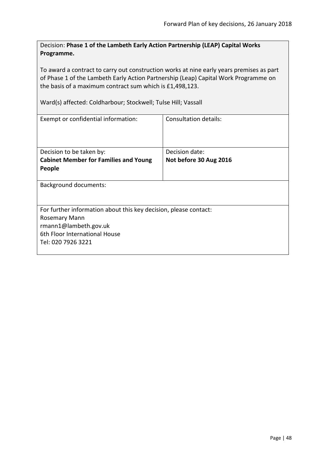Decision: **Phase 1 of the Lambeth Early Action Partnership (LEAP) Capital Works Programme.**

To award a contract to carry out construction works at nine early years premises as part of Phase 1 of the Lambeth Early Action Partnership (Leap) Capital Work Programme on the basis of a maximum contract sum which is £1,498,123.

Ward(s) affected: Coldharbour; Stockwell; Tulse Hill; Vassall

| Consultation details:                                            |  |
|------------------------------------------------------------------|--|
|                                                                  |  |
| Decision date:                                                   |  |
| Not before 30 Aug 2016                                           |  |
|                                                                  |  |
|                                                                  |  |
| For further information about this key decision, please contact: |  |
| Rosemary Mann                                                    |  |
|                                                                  |  |
|                                                                  |  |
|                                                                  |  |
|                                                                  |  |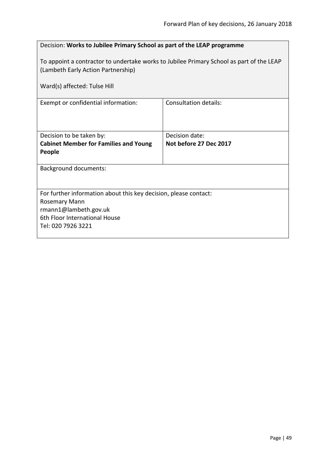| Decision: Works to Jubilee Primary School as part of the LEAP programme                                                        |                        |  |
|--------------------------------------------------------------------------------------------------------------------------------|------------------------|--|
| To appoint a contractor to undertake works to Jubilee Primary School as part of the LEAP<br>(Lambeth Early Action Partnership) |                        |  |
| Ward(s) affected: Tulse Hill                                                                                                   |                        |  |
| Exempt or confidential information:                                                                                            | Consultation details:  |  |
| Decision to be taken by:                                                                                                       | Decision date:         |  |
| <b>Cabinet Member for Families and Young</b><br>People                                                                         | Not before 27 Dec 2017 |  |
| <b>Background documents:</b>                                                                                                   |                        |  |
| For further information about this key decision, please contact:                                                               |                        |  |
| Rosemary Mann<br>rmann1@lambeth.gov.uk                                                                                         |                        |  |
| 6th Floor International House                                                                                                  |                        |  |
| Tel: 020 7926 3221                                                                                                             |                        |  |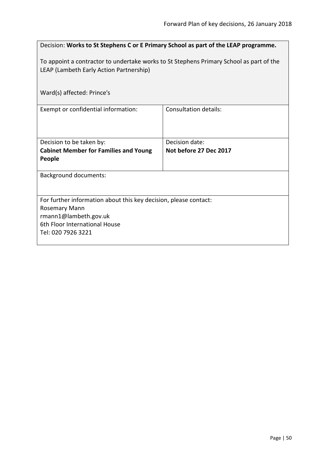| Decision: Works to St Stephens C or E Primary School as part of the LEAP programme.                                                |                                          |  |
|------------------------------------------------------------------------------------------------------------------------------------|------------------------------------------|--|
| To appoint a contractor to undertake works to St Stephens Primary School as part of the<br>LEAP (Lambeth Early Action Partnership) |                                          |  |
| Ward(s) affected: Prince's                                                                                                         |                                          |  |
| Exempt or confidential information:                                                                                                | <b>Consultation details:</b>             |  |
| Decision to be taken by:<br><b>Cabinet Member for Families and Young</b>                                                           | Decision date:<br>Not before 27 Dec 2017 |  |
| People                                                                                                                             |                                          |  |
| <b>Background documents:</b>                                                                                                       |                                          |  |
| For further information about this key decision, please contact:                                                                   |                                          |  |
| <b>Rosemary Mann</b><br>rmann1@lambeth.gov.uk                                                                                      |                                          |  |
| 6th Floor International House<br>Tel: 020 7926 3221                                                                                |                                          |  |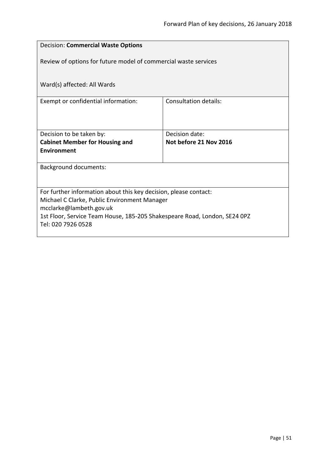| <b>Decision: Commercial Waste Options</b>                                 |                        |  |
|---------------------------------------------------------------------------|------------------------|--|
| Review of options for future model of commercial waste services           |                        |  |
| Ward(s) affected: All Wards                                               |                        |  |
| Exempt or confidential information:                                       | Consultation details:  |  |
|                                                                           |                        |  |
| Decision to be taken by:                                                  | Decision date:         |  |
| <b>Cabinet Member for Housing and</b>                                     | Not before 21 Nov 2016 |  |
| <b>Environment</b>                                                        |                        |  |
| <b>Background documents:</b>                                              |                        |  |
|                                                                           |                        |  |
| For further information about this key decision, please contact:          |                        |  |
| Michael C Clarke, Public Environment Manager<br>mcclarke@lambeth.gov.uk   |                        |  |
| 1st Floor, Service Team House, 185-205 Shakespeare Road, London, SE24 0PZ |                        |  |
| Tel: 020 7926 0528                                                        |                        |  |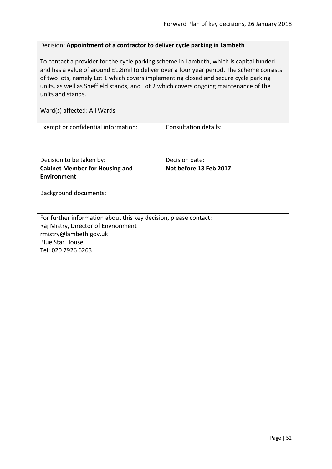## Decision: **Appointment of a contractor to deliver cycle parking in Lambeth**

To contact a provider for the cycle parking scheme in Lambeth, which is capital funded and has a value of around £1.8mil to deliver over a four year period. The scheme consists of two lots, namely Lot 1 which covers implementing closed and secure cycle parking units, as well as Sheffield stands, and Lot 2 which covers ongoing maintenance of the units and stands.

| Exempt or confidential information:                              | <b>Consultation details:</b> |  |
|------------------------------------------------------------------|------------------------------|--|
|                                                                  |                              |  |
| Decision to be taken by:                                         | Decision date:               |  |
| <b>Cabinet Member for Housing and</b>                            | Not before 13 Feb 2017       |  |
| <b>Environment</b>                                               |                              |  |
| <b>Background documents:</b>                                     |                              |  |
| For further information about this key decision, please contact: |                              |  |
| Raj Mistry, Director of Envrionment                              |                              |  |
| rmistry@lambeth.gov.uk                                           |                              |  |
| <b>Blue Star House</b>                                           |                              |  |
| Tel: 020 7926 6263                                               |                              |  |
|                                                                  |                              |  |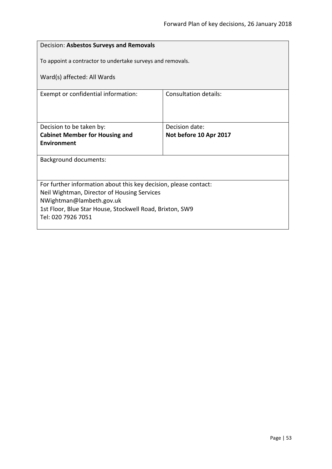| Decision: Asbestos Surveys and Removals                                 |                                          |  |
|-------------------------------------------------------------------------|------------------------------------------|--|
| To appoint a contractor to undertake surveys and removals.              |                                          |  |
| Ward(s) affected: All Wards                                             |                                          |  |
| Exempt or confidential information:                                     | Consultation details:                    |  |
|                                                                         |                                          |  |
| Decision to be taken by:<br><b>Cabinet Member for Housing and</b>       | Decision date:<br>Not before 10 Apr 2017 |  |
| Environment                                                             |                                          |  |
| <b>Background documents:</b>                                            |                                          |  |
|                                                                         |                                          |  |
| For further information about this key decision, please contact:        |                                          |  |
| Neil Wightman, Director of Housing Services<br>NWightman@lambeth.gov.uk |                                          |  |
| 1st Floor, Blue Star House, Stockwell Road, Brixton, SW9                |                                          |  |
| Tel: 020 7926 7051                                                      |                                          |  |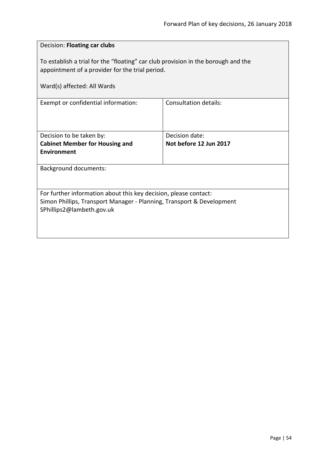| Decision: Floating car clubs                                                                                                                                           |                        |  |
|------------------------------------------------------------------------------------------------------------------------------------------------------------------------|------------------------|--|
| To establish a trial for the "floating" car club provision in the borough and the<br>appointment of a provider for the trial period.                                   |                        |  |
| Ward(s) affected: All Wards                                                                                                                                            |                        |  |
| Exempt or confidential information:                                                                                                                                    | Consultation details:  |  |
| Decision to be taken by:                                                                                                                                               | Decision date:         |  |
| <b>Cabinet Member for Housing and</b><br><b>Environment</b>                                                                                                            | Not before 12 Jun 2017 |  |
| <b>Background documents:</b>                                                                                                                                           |                        |  |
| For further information about this key decision, please contact:<br>Simon Phillips, Transport Manager - Planning, Transport & Development<br>SPhillips2@lambeth.gov.uk |                        |  |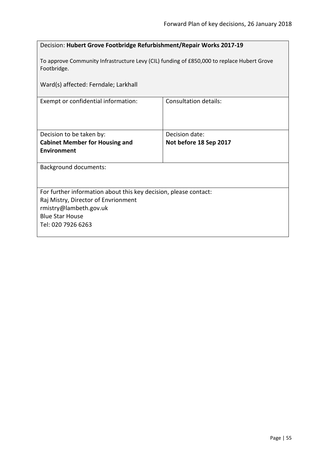| Decision: Hubert Grove Footbridge Refurbishment/Repair Works 2017-19                                      |                        |  |
|-----------------------------------------------------------------------------------------------------------|------------------------|--|
| To approve Community Infrastructure Levy (CIL) funding of £850,000 to replace Hubert Grove<br>Footbridge. |                        |  |
| Ward(s) affected: Ferndale; Larkhall                                                                      |                        |  |
| Exempt or confidential information:                                                                       | Consultation details:  |  |
|                                                                                                           |                        |  |
| Decision to be taken by:                                                                                  | Decision date:         |  |
| <b>Cabinet Member for Housing and</b>                                                                     | Not before 18 Sep 2017 |  |
| <b>Environment</b>                                                                                        |                        |  |
| <b>Background documents:</b>                                                                              |                        |  |
|                                                                                                           |                        |  |
| For further information about this key decision, please contact:                                          |                        |  |
| Raj Mistry, Director of Envrionment                                                                       |                        |  |
| rmistry@lambeth.gov.uk                                                                                    |                        |  |
| <b>Blue Star House</b>                                                                                    |                        |  |
| Tel: 020 7926 6263                                                                                        |                        |  |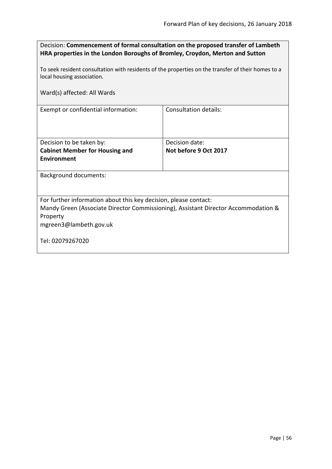| Decision: Commencement of formal consultation on the proposed transfer of Lambeth |
|-----------------------------------------------------------------------------------|
| HRA properties in the London Boroughs of Bromley, Croydon, Merton and Sutton      |

To seek resident consultation with residents of the properties on the transfer of their homes to a local housing association.

Ward(s) affected: All Wards

Exempt or confidential information: Consultation details:

| Decision to be taken by:              | Decision date:        |
|---------------------------------------|-----------------------|
| <b>Cabinet Member for Housing and</b> | Not before 9 Oct 2017 |
| Environment                           |                       |
|                                       |                       |

Background documents:

For further information about this key decision, please contact:

Mandy Green (Associate Director Commissioning), Assistant Director Accommodation & Property

mgreen3@lambeth.gov.uk

Tel: 02079267020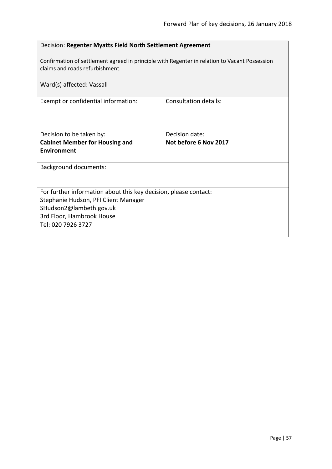| Decision: Regenter Myatts Field North Settlement Agreement                                                                       |                              |  |
|----------------------------------------------------------------------------------------------------------------------------------|------------------------------|--|
| Confirmation of settlement agreed in principle with Regenter in relation to Vacant Possession<br>claims and roads refurbishment. |                              |  |
| Ward(s) affected: Vassall                                                                                                        |                              |  |
| Exempt or confidential information:                                                                                              | <b>Consultation details:</b> |  |
|                                                                                                                                  |                              |  |
| Decision to be taken by:                                                                                                         | Decision date:               |  |
| <b>Cabinet Member for Housing and</b>                                                                                            | Not before 6 Nov 2017        |  |
| <b>Environment</b>                                                                                                               |                              |  |
| <b>Background documents:</b>                                                                                                     |                              |  |
|                                                                                                                                  |                              |  |
| For further information about this key decision, please contact:                                                                 |                              |  |
| Stephanie Hudson, PFI Client Manager                                                                                             |                              |  |
| SHudson2@lambeth.gov.uk                                                                                                          |                              |  |
| 3rd Floor, Hambrook House                                                                                                        |                              |  |
| Tel: 020 7926 3727                                                                                                               |                              |  |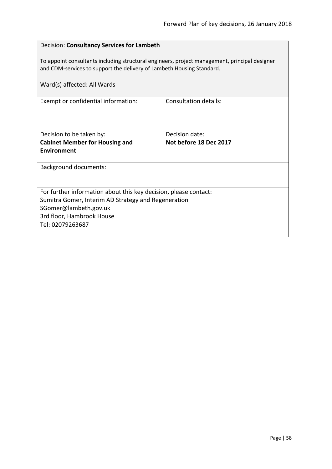| Decision: Consultancy Services for Lambeth                                                                                                                             |                        |  |
|------------------------------------------------------------------------------------------------------------------------------------------------------------------------|------------------------|--|
| To appoint consultants including structural engineers, project management, principal designer<br>and CDM-services to support the delivery of Lambeth Housing Standard. |                        |  |
| Ward(s) affected: All Wards                                                                                                                                            |                        |  |
| Consultation details:<br>Exempt or confidential information:                                                                                                           |                        |  |
|                                                                                                                                                                        |                        |  |
|                                                                                                                                                                        |                        |  |
| Decision to be taken by:                                                                                                                                               | Decision date:         |  |
| <b>Cabinet Member for Housing and</b>                                                                                                                                  | Not before 18 Dec 2017 |  |
| Environment                                                                                                                                                            |                        |  |
| <b>Background documents:</b>                                                                                                                                           |                        |  |
|                                                                                                                                                                        |                        |  |
| For further information about this key decision, please contact:                                                                                                       |                        |  |
| Sumitra Gomer, Interim AD Strategy and Regeneration                                                                                                                    |                        |  |
| SGomer@lambeth.gov.uk                                                                                                                                                  |                        |  |
| 3rd floor, Hambrook House                                                                                                                                              |                        |  |
| Tel: 02079263687                                                                                                                                                       |                        |  |
|                                                                                                                                                                        |                        |  |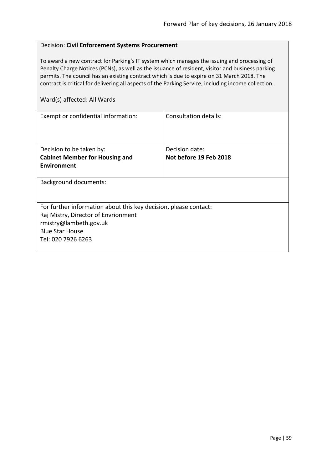## Decision: **Civil Enforcement Systems Procurement**

To award a new contract for Parking's IT system which manages the issuing and processing of Penalty Charge Notices (PCNs), as well as the issuance of resident, visitor and business parking permits. The council has an existing contract which is due to expire on 31 March 2018. The contract is critical for delivering all aspects of the Parking Service, including income collection.

| Exempt or confidential information:                              | Consultation details:  |
|------------------------------------------------------------------|------------------------|
|                                                                  |                        |
|                                                                  |                        |
|                                                                  |                        |
| Decision to be taken by:                                         | Decision date:         |
| <b>Cabinet Member for Housing and</b>                            | Not before 19 Feb 2018 |
| <b>Environment</b>                                               |                        |
|                                                                  |                        |
| <b>Background documents:</b>                                     |                        |
|                                                                  |                        |
|                                                                  |                        |
| For further information about this key decision, please contact: |                        |
| Raj Mistry, Director of Envrionment                              |                        |
| rmistry@lambeth.gov.uk                                           |                        |
| <b>Blue Star House</b>                                           |                        |
| Tel: 020 7926 6263                                               |                        |
|                                                                  |                        |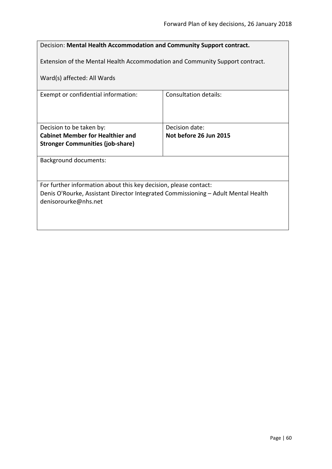| Decision: Mental Health Accommodation and Community Support contract.                                     |                        |  |
|-----------------------------------------------------------------------------------------------------------|------------------------|--|
| Extension of the Mental Health Accommodation and Community Support contract.                              |                        |  |
|                                                                                                           |                        |  |
| Ward(s) affected: All Wards                                                                               |                        |  |
| Exempt or confidential information:                                                                       | Consultation details:  |  |
|                                                                                                           |                        |  |
|                                                                                                           |                        |  |
| Decision to be taken by:                                                                                  | Decision date:         |  |
| <b>Cabinet Member for Healthier and</b>                                                                   | Not before 26 Jun 2015 |  |
| <b>Stronger Communities (job-share)</b>                                                                   |                        |  |
| <b>Background documents:</b>                                                                              |                        |  |
|                                                                                                           |                        |  |
| For further information about this key decision, please contact:                                          |                        |  |
| Denis O'Rourke, Assistant Director Integrated Commissioning - Adult Mental Health<br>denisorourke@nhs.net |                        |  |
|                                                                                                           |                        |  |
|                                                                                                           |                        |  |
|                                                                                                           |                        |  |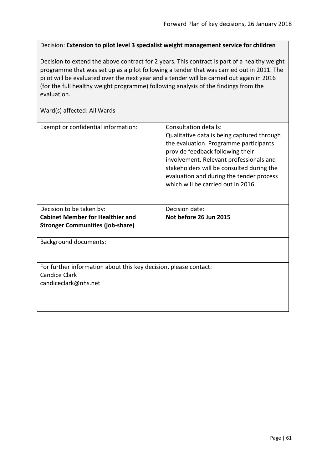Decision: **Extension to pilot level 3 specialist weight management service for children**

Decision to extend the above contract for 2 years. This contract is part of a healthy weight programme that was set up as a pilot following a tender that was carried out in 2011. The pilot will be evaluated over the next year and a tender will be carried out again in 2016 (for the full healthy weight programme) following analysis of the findings from the evaluation.

| Qualitative data is being captured through<br>the evaluation. Programme participants<br>provide feedback following their<br>involvement. Relevant professionals and<br>stakeholders will be consulted during the<br>evaluation and during the tender process<br>which will be carried out in 2016. |  |
|----------------------------------------------------------------------------------------------------------------------------------------------------------------------------------------------------------------------------------------------------------------------------------------------------|--|
| Decision date:                                                                                                                                                                                                                                                                                     |  |
| Not before 26 Jun 2015                                                                                                                                                                                                                                                                             |  |
|                                                                                                                                                                                                                                                                                                    |  |
| <b>Background documents:</b>                                                                                                                                                                                                                                                                       |  |
| For further information about this key decision, please contact:<br><b>Candice Clark</b><br>candiceclark@nhs.net                                                                                                                                                                                   |  |
|                                                                                                                                                                                                                                                                                                    |  |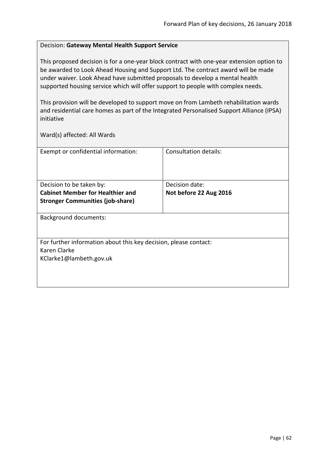## Decision: **Gateway Mental Health Support Service**

This proposed decision is for a one-year block contract with one-year extension option to be awarded to Look Ahead Housing and Support Ltd. The contract award will be made under waiver. Look Ahead have submitted proposals to develop a mental health supported housing service which will offer support to people with complex needs.

This provision will be developed to support move on from Lambeth rehabilitation wards and residential care homes as part of the Integrated Personalised Support Alliance (IPSA) initiative

| Exempt or confidential information:                              | Consultation details:  |
|------------------------------------------------------------------|------------------------|
|                                                                  |                        |
|                                                                  |                        |
|                                                                  |                        |
| Decision to be taken by:                                         | Decision date:         |
| <b>Cabinet Member for Healthier and</b>                          | Not before 22 Aug 2016 |
| <b>Stronger Communities (job-share)</b>                          |                        |
|                                                                  |                        |
| <b>Background documents:</b>                                     |                        |
|                                                                  |                        |
|                                                                  |                        |
| For further information about this key decision, please contact: |                        |
| Karen Clarke                                                     |                        |
| KClarke1@lambeth.gov.uk                                          |                        |
|                                                                  |                        |
|                                                                  |                        |
|                                                                  |                        |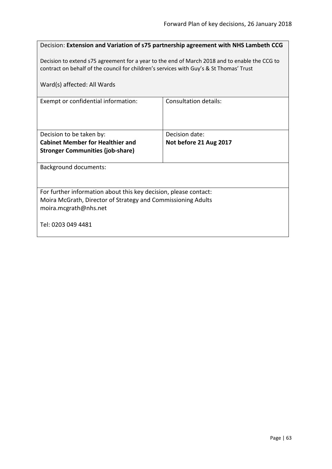|                                                                                                                                                                                          | Decision: Extension and Variation of s75 partnership agreement with NHS Lambeth CCG |  |
|------------------------------------------------------------------------------------------------------------------------------------------------------------------------------------------|-------------------------------------------------------------------------------------|--|
| Decision to extend s75 agreement for a year to the end of March 2018 and to enable the CCG to<br>contract on behalf of the council for children's services with Guy's & St Thomas' Trust |                                                                                     |  |
| Ward(s) affected: All Wards                                                                                                                                                              |                                                                                     |  |
| Exempt or confidential information:                                                                                                                                                      | Consultation details:                                                               |  |
|                                                                                                                                                                                          |                                                                                     |  |
| Decision to be taken by:                                                                                                                                                                 | Decision date:                                                                      |  |
| <b>Cabinet Member for Healthier and</b>                                                                                                                                                  | Not before 21 Aug 2017                                                              |  |
| <b>Stronger Communities (job-share)</b>                                                                                                                                                  |                                                                                     |  |
| <b>Background documents:</b>                                                                                                                                                             |                                                                                     |  |
|                                                                                                                                                                                          |                                                                                     |  |
| For further information about this key decision, please contact:                                                                                                                         |                                                                                     |  |
| Moira McGrath, Director of Strategy and Commissioning Adults                                                                                                                             |                                                                                     |  |
| moira.mcgrath@nhs.net                                                                                                                                                                    |                                                                                     |  |
| Tel: 0203 049 4481                                                                                                                                                                       |                                                                                     |  |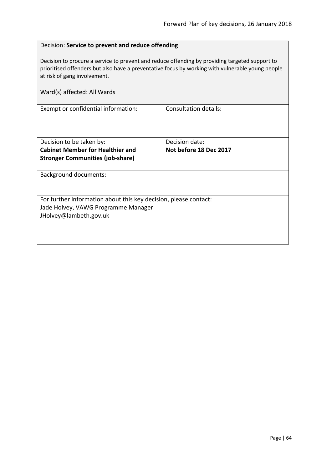## Decision: **Service to prevent and reduce offending**

Decision to procure a service to prevent and reduce offending by providing targeted support to prioritised offenders but also have a preventative focus by working with vulnerable young people at risk of gang involvement.

| Ward(s) affected: All Wards                                                                                                       |                                          |
|-----------------------------------------------------------------------------------------------------------------------------------|------------------------------------------|
| Exempt or confidential information:                                                                                               | <b>Consultation details:</b>             |
| Decision to be taken by:<br><b>Cabinet Member for Healthier and</b><br><b>Stronger Communities (job-share)</b>                    | Decision date:<br>Not before 18 Dec 2017 |
| <b>Background documents:</b>                                                                                                      |                                          |
| For further information about this key decision, please contact:<br>Jade Holvey, VAWG Programme Manager<br>JHolvey@lambeth.gov.uk |                                          |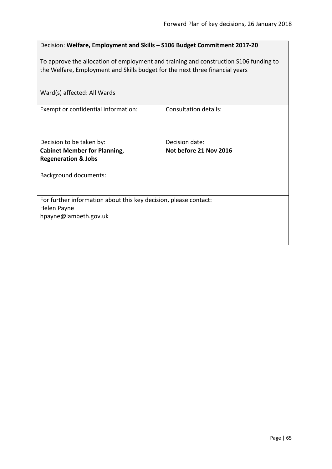| Decision: Welfare, Employment and Skills - S106 Budget Commitment 2017-20                                                                                             |                                          |  |
|-----------------------------------------------------------------------------------------------------------------------------------------------------------------------|------------------------------------------|--|
| To approve the allocation of employment and training and construction S106 funding to<br>the Welfare, Employment and Skills budget for the next three financial years |                                          |  |
| Ward(s) affected: All Wards                                                                                                                                           |                                          |  |
| Exempt or confidential information:                                                                                                                                   | <b>Consultation details:</b>             |  |
| Decision to be taken by:<br><b>Cabinet Member for Planning,</b>                                                                                                       | Decision date:<br>Not before 21 Nov 2016 |  |
| <b>Regeneration &amp; Jobs</b>                                                                                                                                        |                                          |  |
| <b>Background documents:</b>                                                                                                                                          |                                          |  |
| For further information about this key decision, please contact:                                                                                                      |                                          |  |
| Helen Payne<br>hpayne@lambeth.gov.uk                                                                                                                                  |                                          |  |
|                                                                                                                                                                       |                                          |  |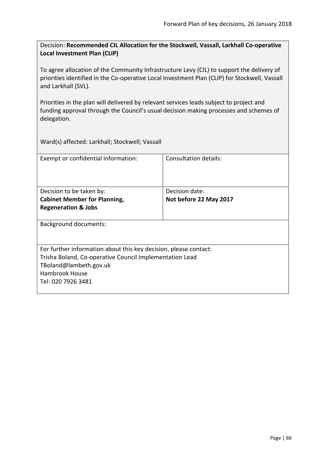Decision: **Recommended CIL Allocation for the Stockwell, Vassall, Larkhall Co-operative Local Investment Plan (CLIP)**

To agree allocation of the Community Infrastructure Levy (CIL) to support the delivery of priorities identified in the Co-operative Local Investment Plan (CLIP) for Stockwell, Vassall and Larkhall (SVL).

Priorities in the plan will delivered by relevant services leads subject to project and funding approval through the Council's usual decision making processes and schemes of delegation.

Ward(s) affected: Larkhall; Stockwell; Vassall

| Exempt or confidential information:                              | Consultation details:  |
|------------------------------------------------------------------|------------------------|
| Decision to be taken by:                                         | Decision date:         |
| <b>Cabinet Member for Planning,</b>                              | Not before 22 May 2017 |
| <b>Regeneration &amp; Jobs</b>                                   |                        |
| <b>Background documents:</b>                                     |                        |
| For further information about this key decision, please contact: |                        |
| Trisha Boland, Co-operative Council Implementation Lead          |                        |
| TBoland@lambeth.gov.uk                                           |                        |
| <b>Hambrook House</b>                                            |                        |
| Tel: 020 7926 3481                                               |                        |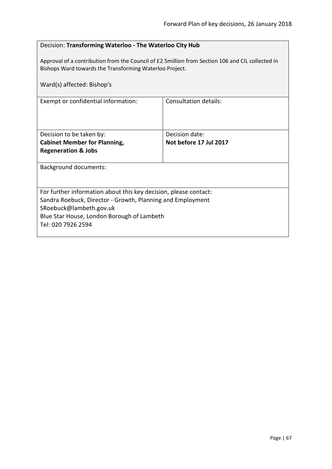# Decision: **Transforming Waterloo - The Waterloo City Hub**

Approval of a contribution from the Council of £2.5million from Section 106 and CIL collected in Bishops Ward towards the Transforming Waterloo Project.

| Ward(s) affected: Bishop's                                       |                        |
|------------------------------------------------------------------|------------------------|
| Exempt or confidential information:                              | Consultation details:  |
| Decision to be taken by:                                         | Decision date:         |
| <b>Cabinet Member for Planning,</b>                              | Not before 17 Jul 2017 |
| <b>Regeneration &amp; Jobs</b>                                   |                        |
| <b>Background documents:</b>                                     |                        |
| For further information about this key decision, please contact: |                        |
| Sandra Roebuck, Director - Growth, Planning and Employment       |                        |
| SRoebuck@lambeth.gov.uk                                          |                        |
| Blue Star House, London Borough of Lambeth                       |                        |
| Tel: 020 7926 2594                                               |                        |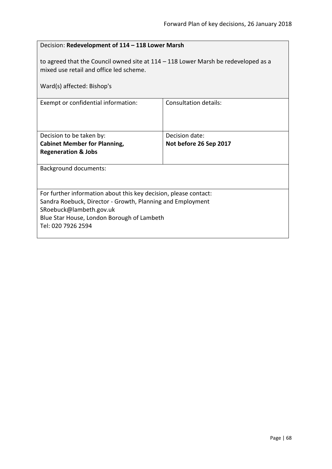| Decision: Redevelopment of 114 - 118 Lower Marsh                                                                                                                                                                              |                              |  |
|-------------------------------------------------------------------------------------------------------------------------------------------------------------------------------------------------------------------------------|------------------------------|--|
| to agreed that the Council owned site at $114 - 118$ Lower Marsh be redeveloped as a<br>mixed use retail and office led scheme.<br>Ward(s) affected: Bishop's                                                                 |                              |  |
| Exempt or confidential information:                                                                                                                                                                                           | <b>Consultation details:</b> |  |
| Decision to be taken by:                                                                                                                                                                                                      | Decision date:               |  |
| <b>Cabinet Member for Planning,</b><br><b>Regeneration &amp; Jobs</b>                                                                                                                                                         | Not before 26 Sep 2017       |  |
| <b>Background documents:</b>                                                                                                                                                                                                  |                              |  |
| For further information about this key decision, please contact:<br>Sandra Roebuck, Director - Growth, Planning and Employment<br>SRoebuck@lambeth.gov.uk<br>Blue Star House, London Borough of Lambeth<br>Tel: 020 7926 2594 |                              |  |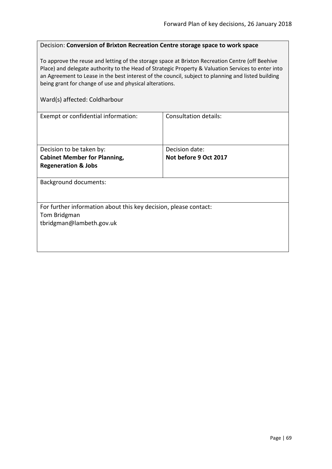## Decision: **Conversion of Brixton Recreation Centre storage space to work space**

To approve the reuse and letting of the storage space at Brixton Recreation Centre (off Beehive Place) and delegate authority to the Head of Strategic Property & Valuation Services to enter into an Agreement to Lease in the best interest of the council, subject to planning and listed building being grant for change of use and physical alterations.

### Ward(s) affected: Coldharbour

| Exempt or confidential information:                              | <b>Consultation details:</b> |
|------------------------------------------------------------------|------------------------------|
|                                                                  |                              |
|                                                                  |                              |
|                                                                  |                              |
| Decision to be taken by:                                         | Decision date:               |
| <b>Cabinet Member for Planning,</b>                              | Not before 9 Oct 2017        |
| <b>Regeneration &amp; Jobs</b>                                   |                              |
|                                                                  |                              |
| <b>Background documents:</b>                                     |                              |
|                                                                  |                              |
|                                                                  |                              |
| For further information about this key decision, please contact: |                              |
| Tom Bridgman                                                     |                              |
| tbridgman@lambeth.gov.uk                                         |                              |
|                                                                  |                              |
|                                                                  |                              |
|                                                                  |                              |
|                                                                  |                              |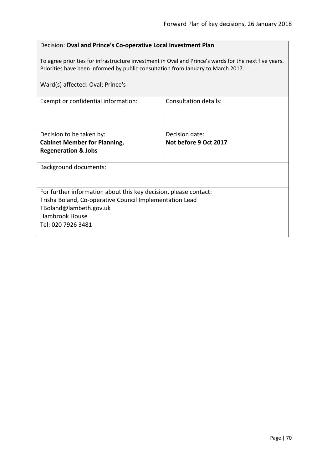| Decision: Oval and Prince's Co-operative Local Investment Plan |
|----------------------------------------------------------------|
|----------------------------------------------------------------|

To agree priorities for infrastructure investment in Oval and Prince's wards for the next five years. Priorities have been informed by public consultation from January to March 2017.

| Ward(s) affected: Oval; Prince's                                                                                                                                                                     |                                         |
|------------------------------------------------------------------------------------------------------------------------------------------------------------------------------------------------------|-----------------------------------------|
| Exempt or confidential information:                                                                                                                                                                  | Consultation details:                   |
| Decision to be taken by:<br><b>Cabinet Member for Planning,</b><br><b>Regeneration &amp; Jobs</b>                                                                                                    | Decision date:<br>Not before 9 Oct 2017 |
| <b>Background documents:</b>                                                                                                                                                                         |                                         |
| For further information about this key decision, please contact:<br>Trisha Boland, Co-operative Council Implementation Lead<br>TBoland@lambeth.gov.uk<br><b>Hambrook House</b><br>Tel: 020 7926 3481 |                                         |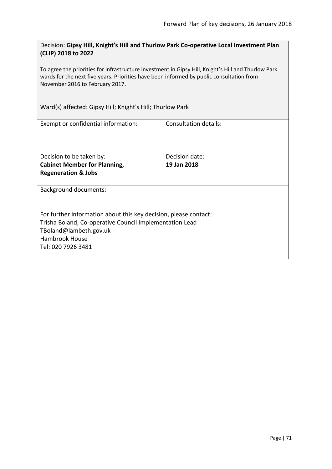Decision: **Gipsy Hill, Knight's Hill and Thurlow Park Co-operative Local Investment Plan (CLIP) 2018 to 2022**

To agree the priorities for infrastructure investment in Gipsy Hill, Knight's Hill and Thurlow Park wards for the next five years. Priorities have been informed by public consultation from November 2016 to February 2017.

Ward(s) affected: Gipsy Hill; Knight's Hill; Thurlow Park

| Consultation details:                                            |  |  |
|------------------------------------------------------------------|--|--|
|                                                                  |  |  |
|                                                                  |  |  |
|                                                                  |  |  |
|                                                                  |  |  |
| Decision date:                                                   |  |  |
| 19 Jan 2018                                                      |  |  |
|                                                                  |  |  |
|                                                                  |  |  |
|                                                                  |  |  |
| <b>Background documents:</b>                                     |  |  |
|                                                                  |  |  |
|                                                                  |  |  |
| For further information about this key decision, please contact: |  |  |
| Trisha Boland, Co-operative Council Implementation Lead          |  |  |
| TBoland@lambeth.gov.uk                                           |  |  |
|                                                                  |  |  |
| Hambrook House                                                   |  |  |
| Tel: 020 7926 3481                                               |  |  |
|                                                                  |  |  |
|                                                                  |  |  |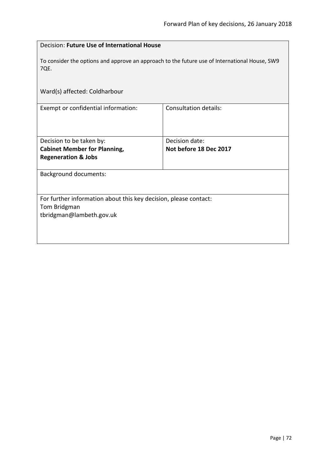| Decision: Future Use of International House                                                           |                              |  |
|-------------------------------------------------------------------------------------------------------|------------------------------|--|
| To consider the options and approve an approach to the future use of International House, SW9<br>7QE. |                              |  |
| Ward(s) affected: Coldharbour                                                                         |                              |  |
| Exempt or confidential information:                                                                   | <b>Consultation details:</b> |  |
| Decision to be taken by:                                                                              | Decision date:               |  |
| <b>Cabinet Member for Planning,</b>                                                                   | Not before 18 Dec 2017       |  |
| <b>Regeneration &amp; Jobs</b>                                                                        |                              |  |
| <b>Background documents:</b>                                                                          |                              |  |
| For further information about this key decision, please contact:                                      |                              |  |
| Tom Bridgman                                                                                          |                              |  |
| tbridgman@lambeth.gov.uk                                                                              |                              |  |
|                                                                                                       |                              |  |
|                                                                                                       |                              |  |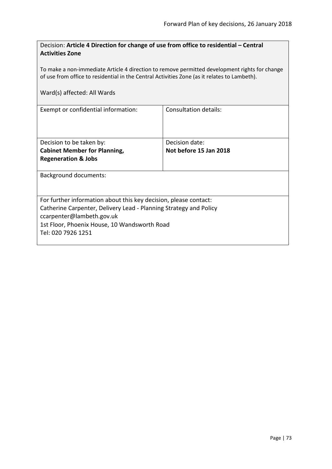| Decision: Article 4 Direction for change of use from office to residential - Central |  |
|--------------------------------------------------------------------------------------|--|
| <b>Activities Zone</b>                                                               |  |

To make a non-immediate Article 4 direction to remove permitted development rights for change of use from office to residential in the Central Activities Zone (as it relates to Lambeth).

|  | Ward(s) affected: All Wards |  |  |
|--|-----------------------------|--|--|
|--|-----------------------------|--|--|

| Exempt or confidential information:                               | Consultation details:  |  |
|-------------------------------------------------------------------|------------------------|--|
|                                                                   |                        |  |
|                                                                   |                        |  |
| Decision to be taken by:                                          | Decision date:         |  |
| <b>Cabinet Member for Planning,</b>                               | Not before 15 Jan 2018 |  |
| <b>Regeneration &amp; Jobs</b>                                    |                        |  |
|                                                                   |                        |  |
| Background documents:                                             |                        |  |
|                                                                   |                        |  |
|                                                                   |                        |  |
| For further information about this key decision, please contact:  |                        |  |
| Catherine Carpenter, Delivery Lead - Planning Strategy and Policy |                        |  |
| ccarpenter@lambeth.gov.uk                                         |                        |  |
| 1st Floor, Phoenix House, 10 Wandsworth Road                      |                        |  |
| Tel: 020 7926 1251                                                |                        |  |
|                                                                   |                        |  |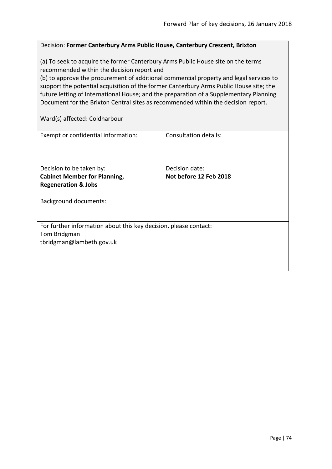#### Decision: **Former Canterbury Arms Public House, Canterbury Crescent, Brixton**

(a) To seek to acquire the former Canterbury Arms Public House site on the terms recommended within the decision report and

(b) to approve the procurement of additional commercial property and legal services to support the potential acquisition of the former Canterbury Arms Public House site; the future letting of International House; and the preparation of a Supplementary Planning Document for the Brixton Central sites as recommended within the decision report.

Ward(s) affected: Coldharbour

| Exempt or confidential information:                              | Consultation details:  |
|------------------------------------------------------------------|------------------------|
|                                                                  |                        |
|                                                                  |                        |
|                                                                  |                        |
|                                                                  |                        |
| Decision to be taken by:                                         | Decision date:         |
| <b>Cabinet Member for Planning,</b>                              | Not before 12 Feb 2018 |
| <b>Regeneration &amp; Jobs</b>                                   |                        |
|                                                                  |                        |
| Background documents:                                            |                        |
|                                                                  |                        |
|                                                                  |                        |
| For further information about this key decision, please contact: |                        |
|                                                                  |                        |
| Tom Bridgman                                                     |                        |
| tbridgman@lambeth.gov.uk                                         |                        |
|                                                                  |                        |
|                                                                  |                        |
|                                                                  |                        |
|                                                                  |                        |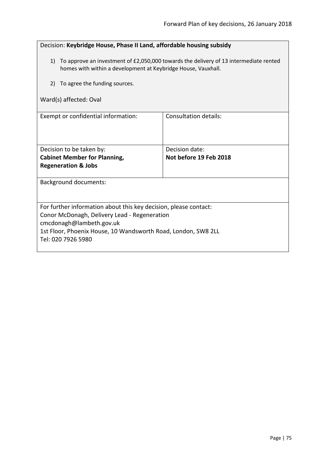| Decision: Keybridge House, Phase II Land, affordable housing subsidy                                                                                      |                              |  |
|-----------------------------------------------------------------------------------------------------------------------------------------------------------|------------------------------|--|
| 1) To approve an investment of £2,050,000 towards the delivery of 13 intermediate rented<br>homes with within a development at Keybridge House, Vauxhall. |                              |  |
| To agree the funding sources.<br>2)                                                                                                                       |                              |  |
| Ward(s) affected: Oval                                                                                                                                    |                              |  |
| Exempt or confidential information:                                                                                                                       | <b>Consultation details:</b> |  |
| Decision to be taken by:                                                                                                                                  | Decision date:               |  |
| <b>Cabinet Member for Planning,</b><br>Not before 19 Feb 2018<br><b>Regeneration &amp; Jobs</b>                                                           |                              |  |
|                                                                                                                                                           |                              |  |
| <b>Background documents:</b>                                                                                                                              |                              |  |
| For further information about this key decision, please contact:                                                                                          |                              |  |
| Conor McDonagh, Delivery Lead - Regeneration<br>cmcdonagh@lambeth.gov.uk                                                                                  |                              |  |
| 1st Floor, Phoenix House, 10 Wandsworth Road, London, SW8 2LL                                                                                             |                              |  |
| Tel: 020 7926 5980                                                                                                                                        |                              |  |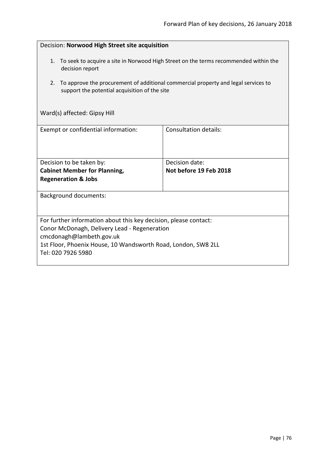| Decision: Norwood High Street site acquisition                                                                                                                                                                                      |                              |  |
|-------------------------------------------------------------------------------------------------------------------------------------------------------------------------------------------------------------------------------------|------------------------------|--|
| 1.<br>To seek to acquire a site in Norwood High Street on the terms recommended within the<br>decision report                                                                                                                       |                              |  |
| To approve the procurement of additional commercial property and legal services to<br>2.<br>support the potential acquisition of the site                                                                                           |                              |  |
| Ward(s) affected: Gipsy Hill                                                                                                                                                                                                        |                              |  |
| Exempt or confidential information:                                                                                                                                                                                                 | <b>Consultation details:</b> |  |
| Decision date:<br>Decision to be taken by:<br><b>Cabinet Member for Planning,</b><br>Not before 19 Feb 2018<br><b>Regeneration &amp; Jobs</b>                                                                                       |                              |  |
| <b>Background documents:</b>                                                                                                                                                                                                        |                              |  |
| For further information about this key decision, please contact:<br>Conor McDonagh, Delivery Lead - Regeneration<br>cmcdonagh@lambeth.gov.uk<br>1st Floor, Phoenix House, 10 Wandsworth Road, London, SW8 2LL<br>Tel: 020 7926 5980 |                              |  |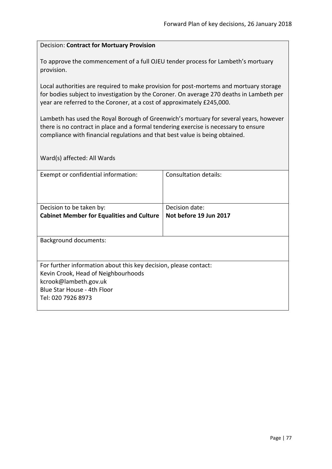#### Decision: **Contract for Mortuary Provision**

To approve the commencement of a full OJEU tender process for Lambeth's mortuary provision.

Local authorities are required to make provision for post-mortems and mortuary storage for bodies subject to investigation by the Coroner. On average 270 deaths in Lambeth per year are referred to the Coroner, at a cost of approximately £245,000.

Lambeth has used the Royal Borough of Greenwich's mortuary for several years, however there is no contract in place and a formal tendering exercise is necessary to ensure compliance with financial regulations and that best value is being obtained.

Ward(s) affected: All Wards

| Exempt or confidential information:                              | Consultation details:  |  |
|------------------------------------------------------------------|------------------------|--|
|                                                                  |                        |  |
|                                                                  |                        |  |
| Decision to be taken by:                                         | Decision date:         |  |
| <b>Cabinet Member for Equalities and Culture</b>                 | Not before 19 Jun 2017 |  |
|                                                                  |                        |  |
|                                                                  |                        |  |
| <b>Background documents:</b>                                     |                        |  |
|                                                                  |                        |  |
|                                                                  |                        |  |
| For further information about this key decision, please contact: |                        |  |
| Kevin Crook, Head of Neighbourhoods                              |                        |  |
| kcrook@lambeth.gov.uk                                            |                        |  |
| Blue Star House - 4th Floor                                      |                        |  |
| Tel: 020 7926 8973                                               |                        |  |
|                                                                  |                        |  |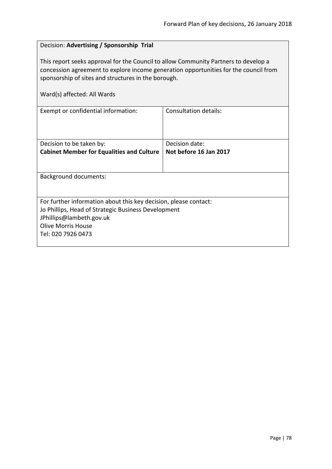# Decision: **Advertising / Sponsorship Trial** This report seeks approval for the Council to allow Community Partners to develop a concession agreement to explore income generation opportunities for the council from sponsorship of sites and structures in the borough. Ward(s) affected: All Wards Exempt or confidential information:  $\vert$  Consultation details: Decision to be taken by: **Cabinet Member for Equalities and Culture** Decision date: **Not before 16 Jan 2017** Background documents: For further information about this key decision, please contact: Jo Phillips, Head of Strategic Business Development JPhillips@lambeth.gov.uk Olive Morris House Tel: 020 7926 0473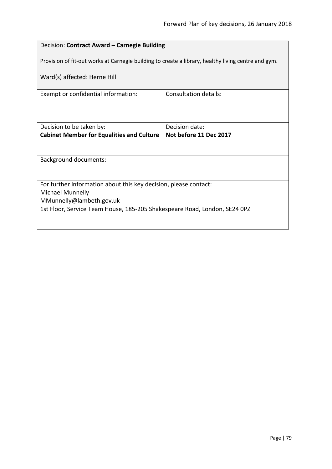# Decision: **Contract Award – Carnegie Building**

Provision of fit-out works at Carnegie building to create a library, healthy living centre and gym.

Ward(s) affected: Herne Hill

| Exempt or confidential information:                                       | Consultation details:  |  |
|---------------------------------------------------------------------------|------------------------|--|
|                                                                           |                        |  |
|                                                                           |                        |  |
|                                                                           |                        |  |
|                                                                           | Decision date:         |  |
| Decision to be taken by:                                                  |                        |  |
| <b>Cabinet Member for Equalities and Culture</b>                          | Not before 11 Dec 2017 |  |
|                                                                           |                        |  |
|                                                                           |                        |  |
| <b>Background documents:</b>                                              |                        |  |
|                                                                           |                        |  |
|                                                                           |                        |  |
|                                                                           |                        |  |
| For further information about this key decision, please contact:          |                        |  |
| Michael Munnelly                                                          |                        |  |
| MMunnelly@lambeth.gov.uk                                                  |                        |  |
|                                                                           |                        |  |
| 1st Floor, Service Team House, 185-205 Shakespeare Road, London, SE24 0PZ |                        |  |
|                                                                           |                        |  |
|                                                                           |                        |  |
|                                                                           |                        |  |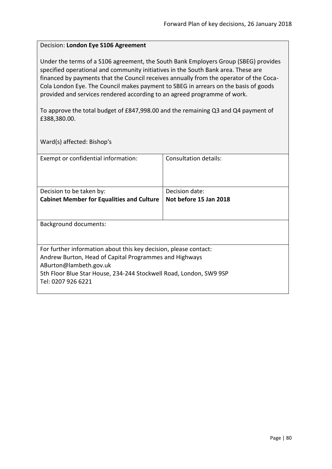#### Decision: **London Eye S106 Agreement**

Under the terms of a S106 agreement, the South Bank Employers Group (SBEG) provides specified operational and community initiatives in the South Bank area. These are financed by payments that the Council receives annually from the operator of the Coca-Cola London Eye. The Council makes payment to SBEG in arrears on the basis of goods provided and services rendered according to an agreed programme of work.

To approve the total budget of £847,998.00 and the remaining Q3 and Q4 payment of £388,380.00.

Ward(s) affected: Bishop's

| Exempt or confidential information:                                                                                                                                                                                                              | Consultation details:  |
|--------------------------------------------------------------------------------------------------------------------------------------------------------------------------------------------------------------------------------------------------|------------------------|
| Decision to be taken by:                                                                                                                                                                                                                         | Decision date:         |
| <b>Cabinet Member for Equalities and Culture</b>                                                                                                                                                                                                 | Not before 15 Jan 2018 |
|                                                                                                                                                                                                                                                  |                        |
| Background documents:                                                                                                                                                                                                                            |                        |
| For further information about this key decision, please contact:<br>Andrew Burton, Head of Capital Programmes and Highways<br>ABurton@lambeth.gov.uk<br>5th Floor Blue Star House, 234-244 Stockwell Road, London, SW9 9SP<br>Tel: 0207 926 6221 |                        |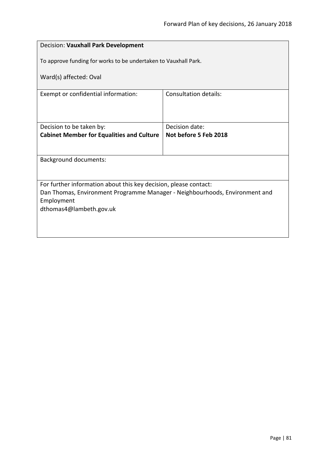| Decision: Vauxhall Park Development                                         |                       |  |
|-----------------------------------------------------------------------------|-----------------------|--|
| To approve funding for works to be undertaken to Vauxhall Park.             |                       |  |
| Ward(s) affected: Oval                                                      |                       |  |
| Exempt or confidential information:                                         | Consultation details: |  |
|                                                                             |                       |  |
| Decision to be taken by:                                                    | Decision date:        |  |
| <b>Cabinet Member for Equalities and Culture</b>                            | Not before 5 Feb 2018 |  |
|                                                                             |                       |  |
| <b>Background documents:</b>                                                |                       |  |
|                                                                             |                       |  |
| For further information about this key decision, please contact:            |                       |  |
| Dan Thomas, Environment Programme Manager - Neighbourhoods, Environment and |                       |  |
| Employment<br>dthomas4@lambeth.gov.uk                                       |                       |  |
|                                                                             |                       |  |
|                                                                             |                       |  |
|                                                                             |                       |  |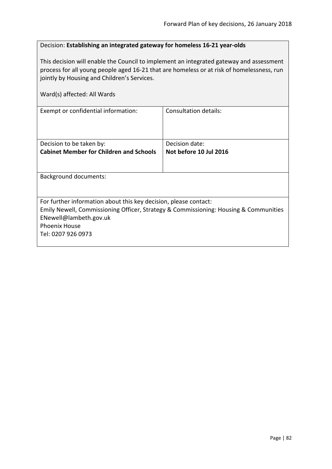## Decision: **Establishing an integrated gateway for homeless 16-21 year-olds**

This decision will enable the Council to implement an integrated gateway and assessment process for all young people aged 16-21 that are homeless or at risk of homelessness, run jointly by Housing and Children's Services.

| Ward(s) affected: All Wards                                                                                                                                                                                                      |                        |  |
|----------------------------------------------------------------------------------------------------------------------------------------------------------------------------------------------------------------------------------|------------------------|--|
| Exempt or confidential information:                                                                                                                                                                                              | Consultation details:  |  |
| Decision to be taken by:                                                                                                                                                                                                         | Decision date:         |  |
| <b>Cabinet Member for Children and Schools</b>                                                                                                                                                                                   | Not before 10 Jul 2016 |  |
| <b>Background documents:</b>                                                                                                                                                                                                     |                        |  |
| For further information about this key decision, please contact:<br>Emily Newell, Commissioning Officer, Strategy & Commissioning: Housing & Communities<br>ENewell@lambeth.gov.uk<br><b>Phoenix House</b><br>Tel: 0207 926 0973 |                        |  |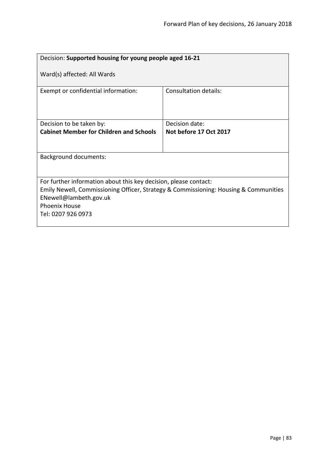| Decision: Supported housing for young people aged 16-21                                                                                                                                                                          |                        |  |
|----------------------------------------------------------------------------------------------------------------------------------------------------------------------------------------------------------------------------------|------------------------|--|
| Ward(s) affected: All Wards                                                                                                                                                                                                      |                        |  |
| Exempt or confidential information:                                                                                                                                                                                              | Consultation details:  |  |
| Decision to be taken by:                                                                                                                                                                                                         | Decision date:         |  |
| <b>Cabinet Member for Children and Schools</b>                                                                                                                                                                                   | Not before 17 Oct 2017 |  |
|                                                                                                                                                                                                                                  |                        |  |
| <b>Background documents:</b>                                                                                                                                                                                                     |                        |  |
| For further information about this key decision, please contact:<br>Emily Newell, Commissioning Officer, Strategy & Commissioning: Housing & Communities<br>ENewell@lambeth.gov.uk<br><b>Phoenix House</b><br>Tel: 0207 926 0973 |                        |  |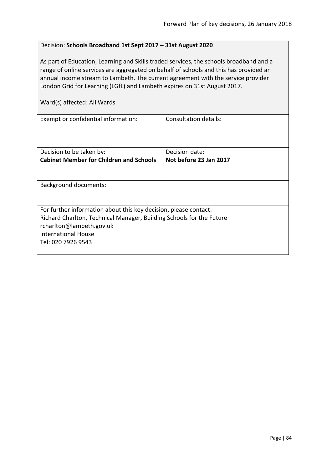# Decision: **Schools Broadband 1st Sept 2017 – 31st August 2020**

As part of Education, Learning and Skills traded services, the schools broadband and a range of online services are aggregated on behalf of schools and this has provided an annual income stream to Lambeth. The current agreement with the service provider London Grid for Learning (LGfL) and Lambeth expires on 31st August 2017.

Ward(s) affected: All Wards

| Exempt or confidential information:                                  | Consultation details:  |
|----------------------------------------------------------------------|------------------------|
| Decision to be taken by:                                             | Decision date:         |
| <b>Cabinet Member for Children and Schools</b>                       | Not before 23 Jan 2017 |
|                                                                      |                        |
| <b>Background documents:</b>                                         |                        |
|                                                                      |                        |
| For further information about this key decision, please contact:     |                        |
| Richard Charlton, Technical Manager, Building Schools for the Future |                        |
| rcharlton@lambeth.gov.uk                                             |                        |
| <b>International House</b>                                           |                        |
| Tel: 020 7926 9543                                                   |                        |
|                                                                      |                        |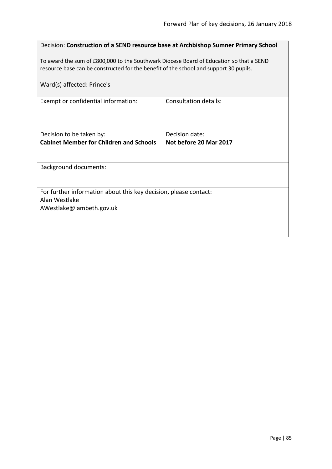| Decision: Construction of a SEND resource base at Archbishop Sumner Primary School                                                                                                                             |                        |  |
|----------------------------------------------------------------------------------------------------------------------------------------------------------------------------------------------------------------|------------------------|--|
| To award the sum of £800,000 to the Southwark Diocese Board of Education so that a SEND<br>resource base can be constructed for the benefit of the school and support 30 pupils.<br>Ward(s) affected: Prince's |                        |  |
| Exempt or confidential information:                                                                                                                                                                            | Consultation details:  |  |
|                                                                                                                                                                                                                |                        |  |
| Decision to be taken by:                                                                                                                                                                                       | Decision date:         |  |
| <b>Cabinet Member for Children and Schools</b>                                                                                                                                                                 | Not before 20 Mar 2017 |  |
| <b>Background documents:</b>                                                                                                                                                                                   |                        |  |
| For further information about this key decision, please contact:<br>Alan Westlake                                                                                                                              |                        |  |
| AWestlake@lambeth.gov.uk                                                                                                                                                                                       |                        |  |
|                                                                                                                                                                                                                |                        |  |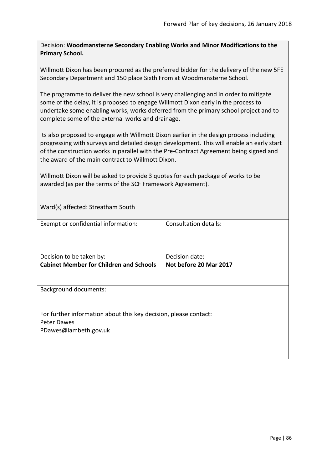Decision: **Woodmansterne Secondary Enabling Works and Minor Modifications to the Primary School.**

Willmott Dixon has been procured as the preferred bidder for the delivery of the new 5FE Secondary Department and 150 place Sixth From at Woodmansterne School.

The programme to deliver the new school is very challenging and in order to mitigate some of the delay, it is proposed to engage Willmott Dixon early in the process to undertake some enabling works, works deferred from the primary school project and to complete some of the external works and drainage.

Its also proposed to engage with Willmott Dixon earlier in the design process including progressing with surveys and detailed design development. This will enable an early start of the construction works in parallel with the Pre-Contract Agreement being signed and the award of the main contract to Willmott Dixon.

Willmott Dixon will be asked to provide 3 quotes for each package of works to be awarded (as per the terms of the SCF Framework Agreement).

Ward(s) affected: Streatham South

| Exempt or confidential information:                                                                      | Consultation details:                    |
|----------------------------------------------------------------------------------------------------------|------------------------------------------|
| Decision to be taken by:<br><b>Cabinet Member for Children and Schools</b>                               | Decision date:<br>Not before 20 Mar 2017 |
| <b>Background documents:</b>                                                                             |                                          |
| For further information about this key decision, please contact:<br>Peter Dawes<br>PDawes@lambeth.gov.uk |                                          |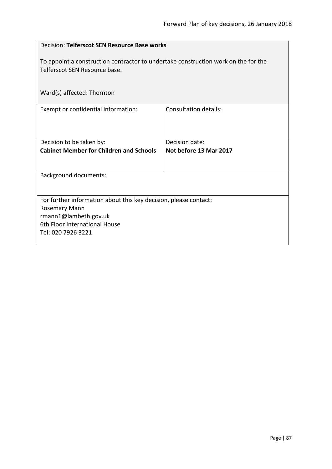| Decision: Telferscot SEN Resource Base works                                                                                                                      |                                          |  |
|-------------------------------------------------------------------------------------------------------------------------------------------------------------------|------------------------------------------|--|
| To appoint a construction contractor to undertake construction work on the for the<br>Telferscot SEN Resource base.                                               |                                          |  |
| Ward(s) affected: Thornton                                                                                                                                        |                                          |  |
| Exempt or confidential information:                                                                                                                               | <b>Consultation details:</b>             |  |
| Decision to be taken by:<br><b>Cabinet Member for Children and Schools</b>                                                                                        | Decision date:<br>Not before 13 Mar 2017 |  |
| <b>Background documents:</b>                                                                                                                                      |                                          |  |
| For further information about this key decision, please contact:<br>Rosemary Mann<br>rmann1@lambeth.gov.uk<br>6th Floor International House<br>Tel: 020 7926 3221 |                                          |  |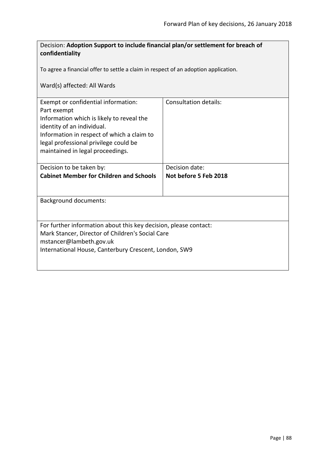| Decision: Adoption Support to include financial plan/or settlement for breach of                                                                                                                                                                         |                       |  |
|----------------------------------------------------------------------------------------------------------------------------------------------------------------------------------------------------------------------------------------------------------|-----------------------|--|
| confidentiality                                                                                                                                                                                                                                          |                       |  |
| To agree a financial offer to settle a claim in respect of an adoption application.                                                                                                                                                                      |                       |  |
| Ward(s) affected: All Wards                                                                                                                                                                                                                              |                       |  |
| Exempt or confidential information:<br>Part exempt<br>Information which is likely to reveal the<br>identity of an individual.<br>Information in respect of which a claim to<br>legal professional privilege could be<br>maintained in legal proceedings. | Consultation details: |  |
| Decision to be taken by:                                                                                                                                                                                                                                 | Decision date:        |  |
| <b>Cabinet Member for Children and Schools</b>                                                                                                                                                                                                           | Not before 5 Feb 2018 |  |
| <b>Background documents:</b>                                                                                                                                                                                                                             |                       |  |
| For further information about this key decision, please contact:<br>Mark Stancer, Director of Children's Social Care<br>mstancer@lambeth.gov.uk<br>International House, Canterbury Crescent, London, SW9                                                 |                       |  |